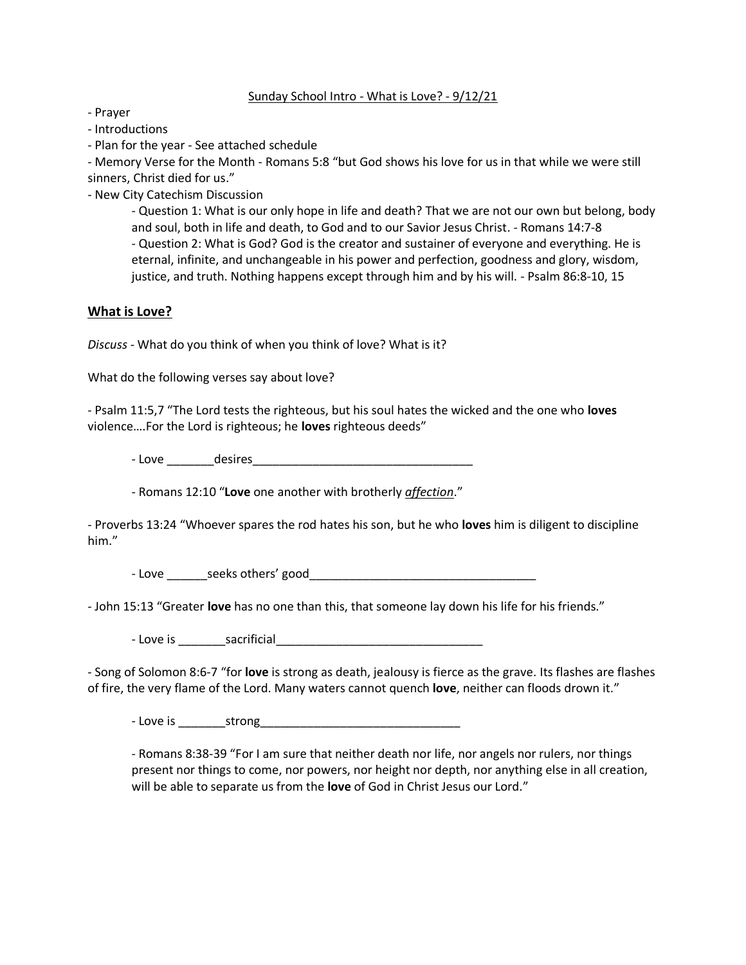#### Sunday School Intro - What is Love? - 9/12/21

- Prayer

- Introductions

- Plan for the year - See attached schedule

- Memory Verse for the Month - Romans 5:8 "but God shows his love for us in that while we were still sinners, Christ died for us."

- New City Catechism Discussion

- Question 1: What is our only hope in life and death? That we are not our own but belong, body and soul, both in life and death, to God and to our Savior Jesus Christ. - Romans 14:7-8 - Question 2: What is God? God is the creator and sustainer of everyone and everything. He is eternal, infinite, and unchangeable in his power and perfection, goodness and glory, wisdom, justice, and truth. Nothing happens except through him and by his will. - Psalm 86:8-10, 15

## **What is Love?**

*Discuss* - What do you think of when you think of love? What is it?

What do the following verses say about love?

- Psalm 11:5,7 "The Lord tests the righteous, but his soul hates the wicked and the one who **loves**  violence….For the Lord is righteous; he **loves** righteous deeds"

- Love \_\_\_\_\_\_\_desires\_\_\_\_\_\_\_\_\_\_\_\_\_\_\_\_\_\_\_\_\_\_\_\_\_\_\_\_\_\_\_\_\_

- Romans 12:10 "**Love** one another with brotherly *affection*."

- Proverbs 13:24 "Whoever spares the rod hates his son, but he who **loves** him is diligent to discipline him."

- Love \_\_\_\_\_\_seeks others' good\_\_\_\_\_\_\_\_\_\_\_\_\_\_\_\_\_\_\_\_\_\_\_\_\_\_\_\_\_\_\_\_\_\_

- John 15:13 "Greater **love** has no one than this, that someone lay down his life for his friends."

- Love is \_\_\_\_\_\_\_sacrificial\_\_\_\_\_\_\_\_\_\_\_\_\_\_\_\_\_\_\_\_\_\_\_\_\_\_\_\_\_\_\_

- Song of Solomon 8:6-7 "for **love** is strong as death, jealousy is fierce as the grave. Its flashes are flashes of fire, the very flame of the Lord. Many waters cannot quench **love**, neither can floods drown it."

- Love is \_\_\_\_\_\_\_strong\_\_\_\_\_\_\_\_\_\_\_\_\_\_\_\_\_\_\_\_\_\_\_\_\_\_\_\_\_\_

- Romans 8:38-39 "For I am sure that neither death nor life, nor angels nor rulers, nor things present nor things to come, nor powers, nor height nor depth, nor anything else in all creation, will be able to separate us from the **love** of God in Christ Jesus our Lord."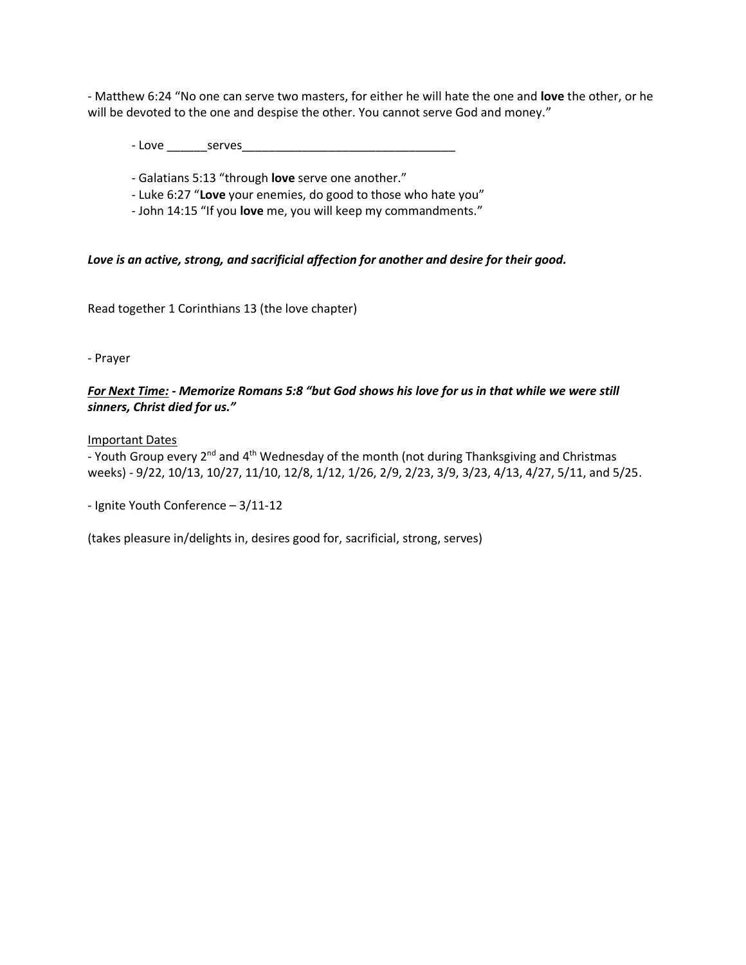- Matthew 6:24 "No one can serve two masters, for either he will hate the one and **love** the other, or he will be devoted to the one and despise the other. You cannot serve God and money."

- Love \_\_\_\_\_\_serves\_\_\_\_\_\_\_\_\_\_\_\_\_\_\_\_\_\_\_\_\_\_\_\_\_\_\_\_\_\_\_\_

- Galatians 5:13 "through **love** serve one another."

- Luke 6:27 "**Love** your enemies, do good to those who hate you"

- John 14:15 "If you **love** me, you will keep my commandments."

*Love is an active, strong, and sacrificial affection for another and desire for their good.*

Read together 1 Corinthians 13 (the love chapter)

- Prayer

## *For Next Time: - Memorize Romans 5:8 "but God shows his love for us in that while we were still sinners, Christ died for us."*

Important Dates

- Youth Group every 2<sup>nd</sup> and 4<sup>th</sup> Wednesday of the month (not during Thanksgiving and Christmas weeks) - 9/22, 10/13, 10/27, 11/10, 12/8, 1/12, 1/26, 2/9, 2/23, 3/9, 3/23, 4/13, 4/27, 5/11, and 5/25.

- Ignite Youth Conference – 3/11-12

(takes pleasure in/delights in, desires good for, sacrificial, strong, serves)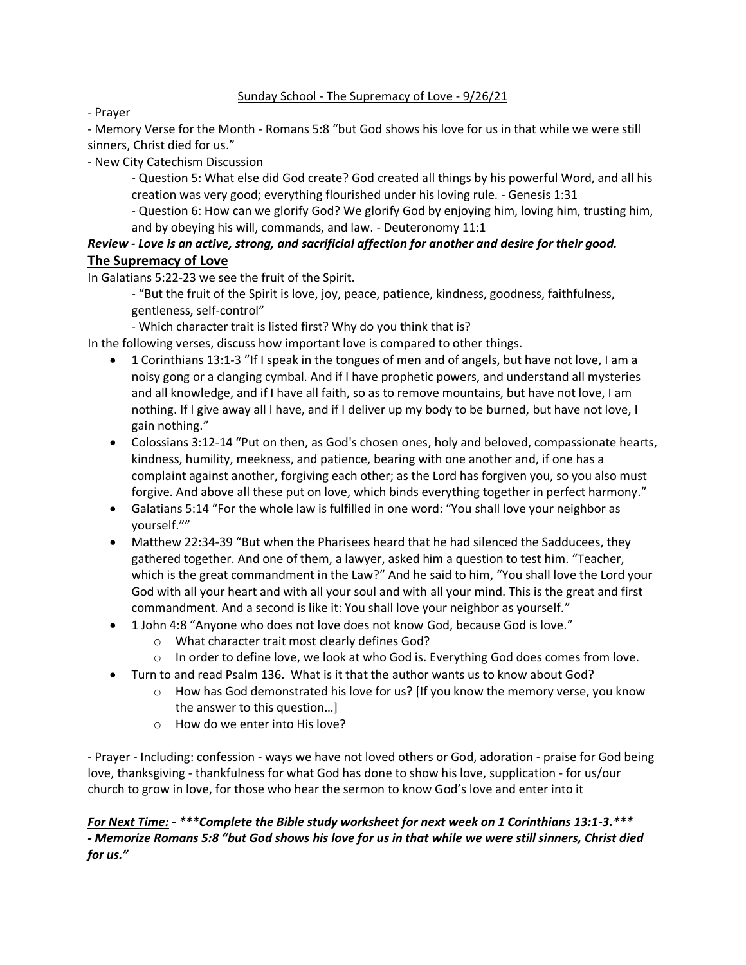## Sunday School - The Supremacy of Love - 9/26/21

- Prayer

- Memory Verse for the Month - Romans 5:8 "but God shows his love for us in that while we were still sinners, Christ died for us."

- New City Catechism Discussion

- Question 5: What else did God create? God created all things by his powerful Word, and all his creation was very good; everything flourished under his loving rule. - Genesis 1:31

- Question 6: How can we glorify God? We glorify God by enjoying him, loving him, trusting him, and by obeying his will, commands, and law. - Deuteronomy 11:1

# *Review - Love is an active, strong, and sacrificial affection for another and desire for their good.* **The Supremacy of Love**

In Galatians 5:22-23 we see the fruit of the Spirit.

- "But the fruit of the Spirit is love, joy, peace, patience, kindness, goodness, faithfulness, gentleness, self-control"

- Which character trait is listed first? Why do you think that is?

In the following verses, discuss how important love is compared to other things.

- 1 Corinthians 13:1-3 "If I speak in the tongues of men and of angels, but have not love, I am a noisy gong or a clanging cymbal. And if I have prophetic powers, and understand all mysteries and all knowledge, and if I have all faith, so as to remove mountains, but have not love, I am nothing. If I give away all I have, and if I deliver up my body to be burned, but have not love, I gain nothing."
- Colossians 3:12-14 "Put on then, as God's chosen ones, holy and beloved, compassionate hearts, kindness, humility, meekness, and patience, bearing with one another and, if one has a complaint against another, forgiving each other; as the Lord has forgiven you, so you also must forgive. And above all these put on love, which binds everything together in perfect harmony."
- Galatians 5:14 "For the whole law is fulfilled in one word: "You shall love your neighbor as yourself.""
- Matthew 22:34-39 "But when the Pharisees heard that he had silenced the Sadducees, they gathered together. And one of them, a lawyer, asked him a question to test him. "Teacher, which is the great commandment in the Law?" And he said to him, "You shall love the Lord your God with all your heart and with all your soul and with all your mind. This is the great and first commandment. And a second is like it: You shall love your neighbor as yourself."
- 1 John 4:8 "Anyone who does not love does not know God, because God is love."
	- o What character trait most clearly defines God?
	- $\circ$  In order to define love, we look at who God is. Everything God does comes from love.
- Turn to and read Psalm 136. What is it that the author wants us to know about God?
	- $\circ$  How has God demonstrated his love for us? [If you know the memory verse, you know the answer to this question…]
	- o How do we enter into His love?

- Prayer - Including: confession - ways we have not loved others or God, adoration - praise for God being love, thanksgiving - thankfulness for what God has done to show his love, supplication - for us/our church to grow in love, for those who hear the sermon to know God's love and enter into it

*For Next Time: - \*\*\*Complete the Bible study worksheet for next week on 1 Corinthians 13:1-3.\*\*\* - Memorize Romans 5:8 "but God shows his love for us in that while we were still sinners, Christ died for us."*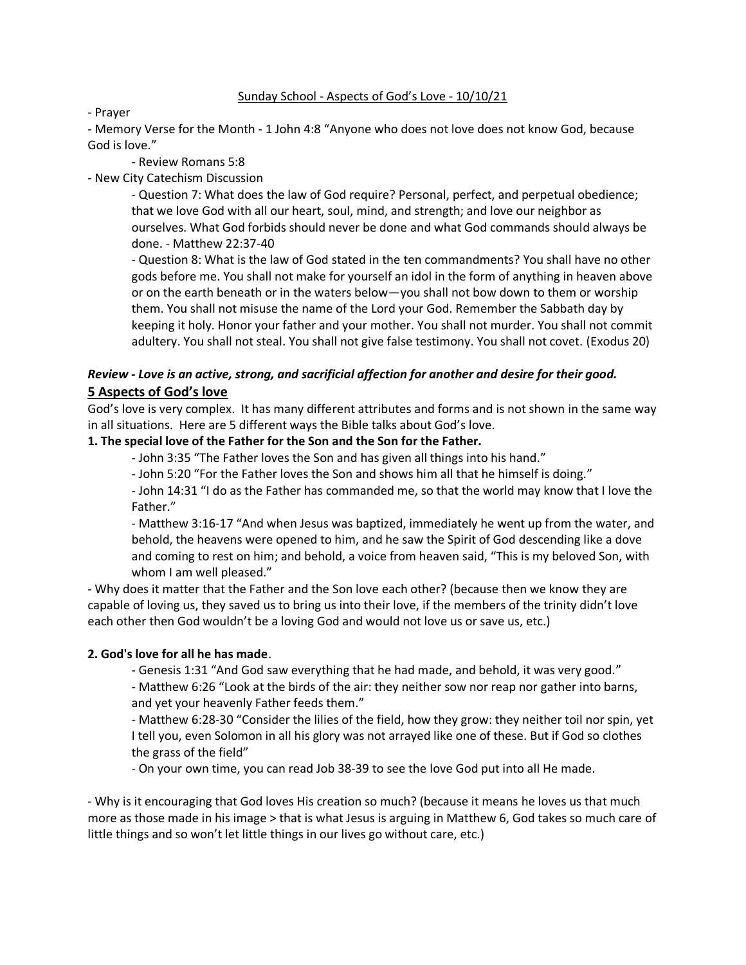### Sunday School - Aspects of God's Love - 10/10/21

#### - Prayer

- Memory Verse for the Month - 1 John 4:8 "Anyone who does not love does not know God, because God is love."

- Review Romans 5:8

- New City Catechism Discussion

- Question 7: What does the law of God require? Personal, perfect, and perpetual obedience; that we love God with all our heart, soul, mind, and strength; and love our neighbor as ourselves. What God forbids should never be done and what God commands should always be done. - Matthew 22:37-40

- Question 8: What is the law of God stated in the ten commandments? You shall have no other gods before me. You shall not make for yourself an idol in the form of anything in heaven above or on the earth beneath or in the waters below—you shall not bow down to them or worship them. You shall not misuse the name of the Lord your God. Remember the Sabbath day by keeping it holy. Honor your father and your mother. You shall not murder. You shall not commit adultery. You shall not steal. You shall not give false testimony. You shall not covet. (Exodus 20)

# *Review - Love is an active, strong, and sacrificial affection for another and desire for their good.* **5 Aspects of God's love**

God's love is very complex. It has many different attributes and forms and is not shown in the same way in all situations. Here are 5 different ways the Bible talks about God's love.

### **1. The special love of the Father for the Son and the Son for the Father.**

- John 3:35 "The Father loves the Son and has given all things into his hand."
- John 5:20 "For the Father loves the Son and shows him all that he himself is doing."

- John 14:31 "I do as the Father has commanded me, so that the world may know that I love the Father."

- Matthew 3:16-17 "And when Jesus was baptized, immediately he went up from the water, and behold, the heavens were opened to him, and he saw the Spirit of God descending like a dove and coming to rest on him; and behold, a voice from heaven said, "This is my beloved Son, with whom I am well pleased."

- Why does it matter that the Father and the Son love each other? (because then we know they are capable of loving us, they saved us to bring us into their love, if the members of the trinity didn't love each other then God wouldn't be a loving God and would not love us or save us, etc.)

### **2. God's love for all he has made**.

- Genesis 1:31 "And God saw everything that he had made, and behold, it was very good."

- Matthew 6:26 "Look at the birds of the air: they neither sow nor reap nor gather into barns, and yet your heavenly Father feeds them."

- Matthew 6:28-30 "Consider the lilies of the field, how they grow: they neither toil nor spin, yet I tell you, even Solomon in all his glory was not arrayed like one of these. But if God so clothes the grass of the field"

- On your own time, you can read Job 38-39 to see the love God put into all He made.

- Why is it encouraging that God loves His creation so much? (because it means he loves us that much more as those made in his image > that is what Jesus is arguing in Matthew 6, God takes so much care of little things and so won't let little things in our lives go without care, etc.)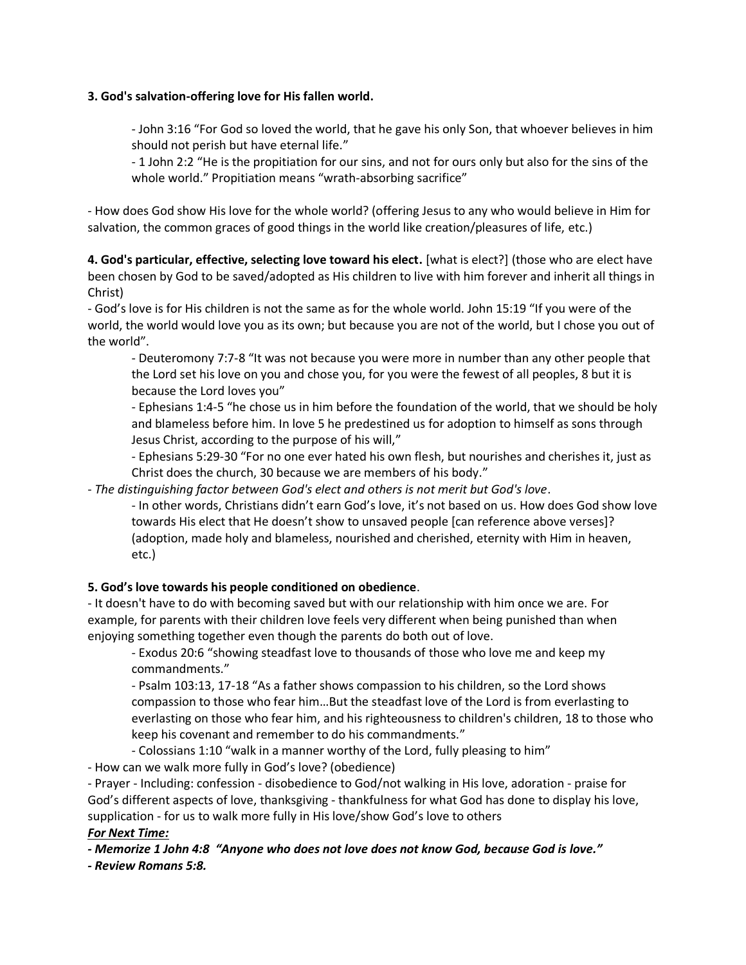### **3. God's salvation-offering love for His fallen world.**

- John 3:16 "For God so loved the world, that he gave his only Son, that whoever believes in him should not perish but have eternal life."

- 1 John 2:2 "He is the propitiation for our sins, and not for ours only but also for the sins of the whole world." Propitiation means "wrath-absorbing sacrifice"

- How does God show His love for the whole world? (offering Jesus to any who would believe in Him for salvation, the common graces of good things in the world like creation/pleasures of life, etc.)

**4. God's particular, effective, selecting love toward his elect.** [what is elect?] (those who are elect have been chosen by God to be saved/adopted as His children to live with him forever and inherit all things in Christ)

- God's love is for His children is not the same as for the whole world. John 15:19 "If you were of the world, the world would love you as its own; but because you are not of the world, but I chose you out of the world".

- Deuteromony 7:7-8 "It was not because you were more in number than any other people that the Lord set his love on you and chose you, for you were the fewest of all peoples, 8 but it is because the Lord loves you"

- Ephesians 1:4-5 "he chose us in him before the foundation of the world, that we should be holy and blameless before him. In love 5 he predestined us for adoption to himself as sons through Jesus Christ, according to the purpose of his will,"

- Ephesians 5:29-30 "For no one ever hated his own flesh, but nourishes and cherishes it, just as Christ does the church, 30 because we are members of his body."

- *The distinguishing factor between God's elect and others is not merit but God's love*.

- In other words, Christians didn't earn God's love, it's not based on us. How does God show love towards His elect that He doesn't show to unsaved people [can reference above verses]? (adoption, made holy and blameless, nourished and cherished, eternity with Him in heaven, etc.)

### **5. God's love towards his people conditioned on obedience**.

- It doesn't have to do with becoming saved but with our relationship with him once we are. For example, for parents with their children love feels very different when being punished than when enjoying something together even though the parents do both out of love.

- Exodus 20:6 "showing steadfast love to thousands of those who love me and keep my commandments."

- Psalm 103:13, 17-18 "As a father shows compassion to his children, so the Lord shows compassion to those who fear him…But the steadfast love of the Lord is from everlasting to everlasting on those who fear him, and his righteousness to children's children, 18 to those who keep his covenant and remember to do his commandments."

- Colossians 1:10 "walk in a manner worthy of the Lord, fully pleasing to him"

- How can we walk more fully in God's love? (obedience)

- Prayer - Including: confession - disobedience to God/not walking in His love, adoration - praise for God's different aspects of love, thanksgiving - thankfulness for what God has done to display his love, supplication - for us to walk more fully in His love/show God's love to others

### *For Next Time:*

*- Memorize 1 John 4:8 "Anyone who does not love does not know God, because God is love."*

*- Review Romans 5:8.*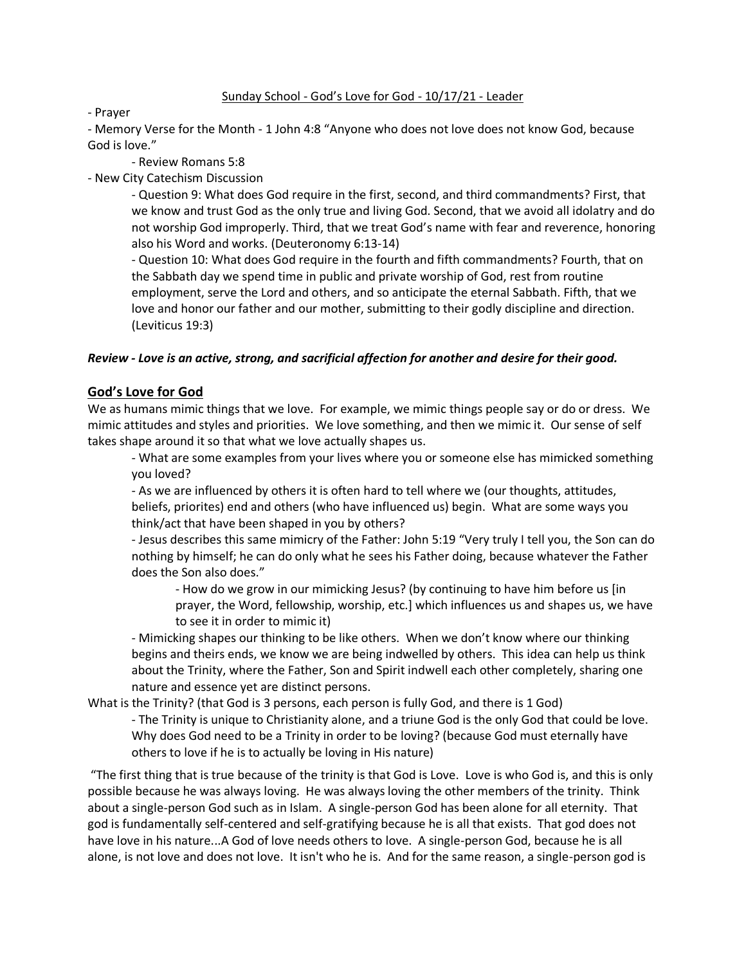#### Sunday School - God's Love for God - 10/17/21 - Leader

#### - Prayer

- Memory Verse for the Month - 1 John 4:8 "Anyone who does not love does not know God, because God is love."

- Review Romans 5:8

- New City Catechism Discussion

- Question 9: What does God require in the first, second, and third commandments? First, that we know and trust God as the only true and living God. Second, that we avoid all idolatry and do not worship God improperly. Third, that we treat God's name with fear and reverence, honoring also his Word and works. (Deuteronomy 6:13-14)

- Question 10: What does God require in the fourth and fifth commandments? Fourth, that on the Sabbath day we spend time in public and private worship of God, rest from routine employment, serve the Lord and others, and so anticipate the eternal Sabbath. Fifth, that we love and honor our father and our mother, submitting to their godly discipline and direction. (Leviticus 19:3)

### *Review - Love is an active, strong, and sacrificial affection for another and desire for their good.*

## **God's Love for God**

We as humans mimic things that we love. For example, we mimic things people say or do or dress. We mimic attitudes and styles and priorities. We love something, and then we mimic it. Our sense of self takes shape around it so that what we love actually shapes us.

- What are some examples from your lives where you or someone else has mimicked something you loved?

- As we are influenced by others it is often hard to tell where we (our thoughts, attitudes, beliefs, priorites) end and others (who have influenced us) begin. What are some ways you think/act that have been shaped in you by others?

- Jesus describes this same mimicry of the Father: John 5:19 "Very truly I tell you, the Son can do nothing by himself; he can do only what he sees his Father doing, because whatever the Father does the Son also does."

- How do we grow in our mimicking Jesus? (by continuing to have him before us [in prayer, the Word, fellowship, worship, etc.] which influences us and shapes us, we have to see it in order to mimic it)

- Mimicking shapes our thinking to be like others. When we don't know where our thinking begins and theirs ends, we know we are being indwelled by others. This idea can help us think about the Trinity, where the Father, Son and Spirit indwell each other completely, sharing one nature and essence yet are distinct persons.

What is the Trinity? (that God is 3 persons, each person is fully God, and there is 1 God)

- The Trinity is unique to Christianity alone, and a triune God is the only God that could be love. Why does God need to be a Trinity in order to be loving? (because God must eternally have others to love if he is to actually be loving in His nature)

"The first thing that is true because of the trinity is that God is Love. Love is who God is, and this is only possible because he was always loving. He was always loving the other members of the trinity. Think about a single-person God such as in Islam. A single-person God has been alone for all eternity. That god is fundamentally self-centered and self-gratifying because he is all that exists. That god does not have love in his nature...A God of love needs others to love. A single-person God, because he is all alone, is not love and does not love. It isn't who he is. And for the same reason, a single-person god is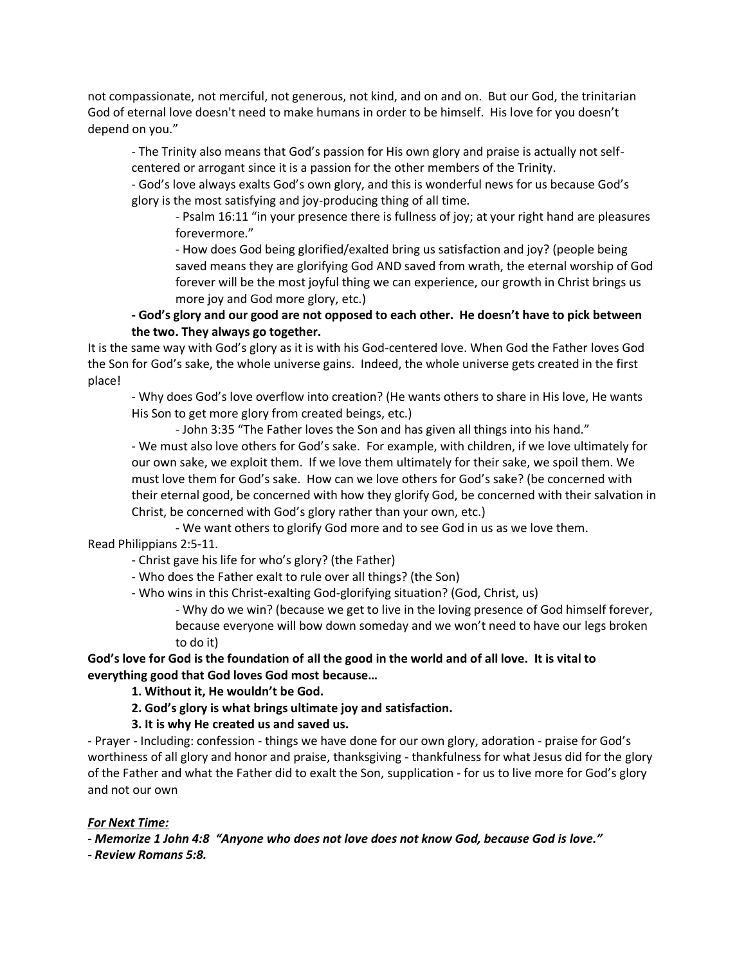not compassionate, not merciful, not generous, not kind, and on and on. But our God, the trinitarian God of eternal love doesn't need to make humans in order to be himself. His love for you doesn't depend on you."

- The Trinity also means that God's passion for His own glory and praise is actually not selfcentered or arrogant since it is a passion for the other members of the Trinity.

- God's love always exalts God's own glory, and this is wonderful news for us because God's glory is the most satisfying and joy-producing thing of all time.

- Psalm 16:11 "in your presence there is fullness of joy; at your right hand are pleasures forevermore."

- How does God being glorified/exalted bring us satisfaction and joy? (people being saved means they are glorifying God AND saved from wrath, the eternal worship of God forever will be the most joyful thing we can experience, our growth in Christ brings us more joy and God more glory, etc.)

## **- God's glory and our good are not opposed to each other. He doesn't have to pick between the two. They always go together.**

It is the same way with God's glory as it is with his God-centered love. When God the Father loves God the Son for God's sake, the whole universe gains. Indeed, the whole universe gets created in the first place!

- Why does God's love overflow into creation? (He wants others to share in His love, He wants His Son to get more glory from created beings, etc.)

- John 3:35 "The Father loves the Son and has given all things into his hand."

- We must also love others for God's sake. For example, with children, if we love ultimately for our own sake, we exploit them. If we love them ultimately for their sake, we spoil them. We must love them for God's sake. How can we love others for God's sake? (be concerned with their eternal good, be concerned with how they glorify God, be concerned with their salvation in Christ, be concerned with God's glory rather than your own, etc.)

- We want others to glorify God more and to see God in us as we love them.

Read Philippians 2:5-11.

- Christ gave his life for who's glory? (the Father)

- Who does the Father exalt to rule over all things? (the Son)
- Who wins in this Christ-exalting God-glorifying situation? (God, Christ, us)

- Why do we win? (because we get to live in the loving presence of God himself forever, because everyone will bow down someday and we won't need to have our legs broken to do it)

**God's love for God is the foundation of all the good in the world and of all love. It is vital to everything good that God loves God most because…**

**1. Without it, He wouldn't be God.**

- **2. God's glory is what brings ultimate joy and satisfaction.**
- **3. It is why He created us and saved us.**

- Prayer - Including: confession - things we have done for our own glory, adoration - praise for God's worthiness of all glory and honor and praise, thanksgiving - thankfulness for what Jesus did for the glory of the Father and what the Father did to exalt the Son, supplication - for us to live more for God's glory and not our own

### *For Next Time:*

*- Memorize 1 John 4:8 "Anyone who does not love does not know God, because God is love."*

*- Review Romans 5:8.*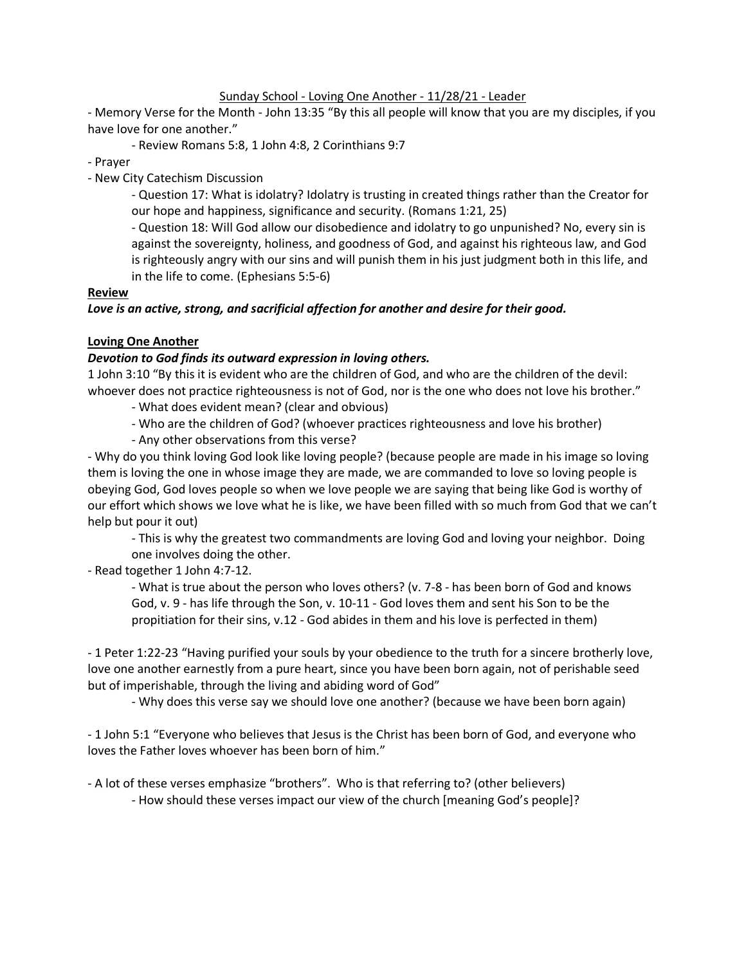### Sunday School - Loving One Another - 11/28/21 - Leader

- Memory Verse for the Month - John 13:35 "By this all people will know that you are my disciples, if you have love for one another."

- Review Romans 5:8, 1 John 4:8, 2 Corinthians 9:7

- Prayer

- New City Catechism Discussion

- Question 17: What is idolatry? Idolatry is trusting in created things rather than the Creator for our hope and happiness, significance and security. (Romans 1:21, 25)

- Question 18: Will God allow our disobedience and idolatry to go unpunished? No, every sin is against the sovereignty, holiness, and goodness of God, and against his righteous law, and God is righteously angry with our sins and will punish them in his just judgment both in this life, and in the life to come. (Ephesians 5:5-6)

#### **Review**

#### *Love is an active, strong, and sacrificial affection for another and desire for their good.*

#### **Loving One Another**

#### *Devotion to God finds its outward expression in loving others.*

1 John 3:10 "By this it is evident who are the children of God, and who are the children of the devil: whoever does not practice righteousness is not of God, nor is the one who does not love his brother."

- What does evident mean? (clear and obvious)
- Who are the children of God? (whoever practices righteousness and love his brother)
- Any other observations from this verse?

- Why do you think loving God look like loving people? (because people are made in his image so loving them is loving the one in whose image they are made, we are commanded to love so loving people is obeying God, God loves people so when we love people we are saying that being like God is worthy of our effort which shows we love what he is like, we have been filled with so much from God that we can't help but pour it out)

- This is why the greatest two commandments are loving God and loving your neighbor. Doing one involves doing the other.

- Read together 1 John 4:7-12.

- What is true about the person who loves others? (v. 7-8 - has been born of God and knows God, v. 9 - has life through the Son, v. 10-11 - God loves them and sent his Son to be the propitiation for their sins, v.12 - God abides in them and his love is perfected in them)

- 1 Peter 1:22-23 "Having purified your souls by your obedience to the truth for a sincere brotherly love, love one another earnestly from a pure heart, since you have been born again, not of perishable seed but of imperishable, through the living and abiding word of God"

- Why does this verse say we should love one another? (because we have been born again)

- 1 John 5:1 "Everyone who believes that Jesus is the Christ has been born of God, and everyone who loves the Father loves whoever has been born of him."

- A lot of these verses emphasize "brothers". Who is that referring to? (other believers) - How should these verses impact our view of the church [meaning God's people]?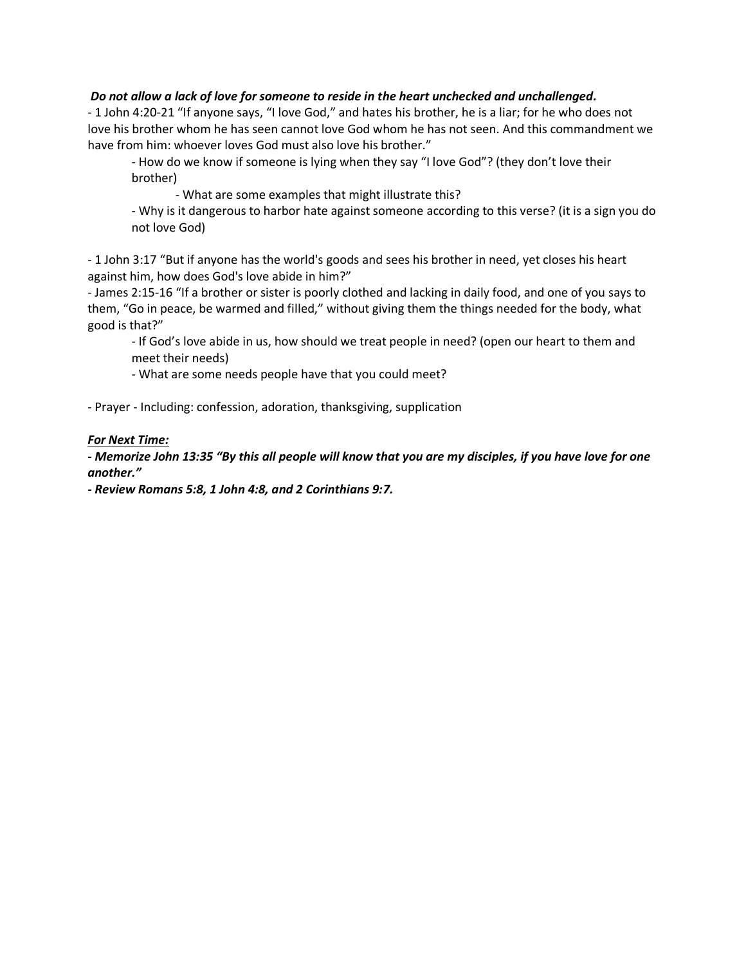### *Do not allow a lack of love for someone to reside in the heart unchecked and unchallenged.*

- 1 John 4:20-21 "If anyone says, "I love God," and hates his brother, he is a liar; for he who does not love his brother whom he has seen cannot love God whom he has not seen. And this commandment we have from him: whoever loves God must also love his brother."

- How do we know if someone is lying when they say "I love God"? (they don't love their brother)

- What are some examples that might illustrate this?

- Why is it dangerous to harbor hate against someone according to this verse? (it is a sign you do not love God)

- 1 John 3:17 "But if anyone has the world's goods and sees his brother in need, yet closes his heart against him, how does God's love abide in him?"

- James 2:15-16 "If a brother or sister is poorly clothed and lacking in daily food, and one of you says to them, "Go in peace, be warmed and filled," without giving them the things needed for the body, what good is that?"

- If God's love abide in us, how should we treat people in need? (open our heart to them and meet their needs)

- What are some needs people have that you could meet?

- Prayer - Including: confession, adoration, thanksgiving, supplication

#### *For Next Time:*

*- Memorize John 13:35 "By this all people will know that you are my disciples, if you have love for one another."*

*- Review Romans 5:8, 1 John 4:8, and 2 Corinthians 9:7.*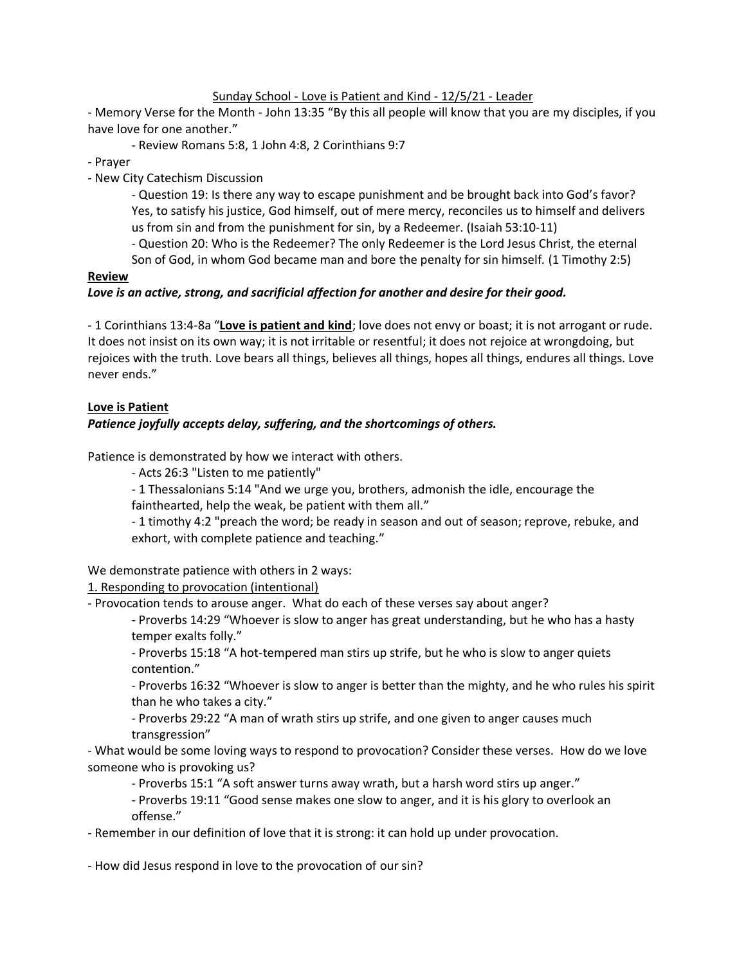## Sunday School - Love is Patient and Kind - 12/5/21 - Leader

- Memory Verse for the Month - John 13:35 "By this all people will know that you are my disciples, if you have love for one another."

- Review Romans 5:8, 1 John 4:8, 2 Corinthians 9:7

- Prayer

- New City Catechism Discussion

- Question 19: Is there any way to escape punishment and be brought back into God's favor? Yes, to satisfy his justice, God himself, out of mere mercy, reconciles us to himself and delivers us from sin and from the punishment for sin, by a Redeemer. (Isaiah 53:10-11)

- Question 20: Who is the Redeemer? The only Redeemer is the Lord Jesus Christ, the eternal

Son of God, in whom God became man and bore the penalty for sin himself. (1 Timothy 2:5) **Review**

# *Love is an active, strong, and sacrificial affection for another and desire for their good.*

- 1 Corinthians 13:4-8a "**Love is patient and kind**; love does not envy or boast; it is not arrogant or rude. It does not insist on its own way; it is not irritable or resentful; it does not rejoice at wrongdoing, but rejoices with the truth. Love bears all things, believes all things, hopes all things, endures all things. Love never ends."

## **Love is Patient**

# *Patience joyfully accepts delay, suffering, and the shortcomings of others.*

Patience is demonstrated by how we interact with others.

- Acts 26:3 "Listen to me patiently"

- 1 Thessalonians 5:14 "And we urge you, brothers, admonish the idle, encourage the fainthearted, help the weak, be patient with them all."

- 1 timothy 4:2 "preach the word; be ready in season and out of season; reprove, rebuke, and exhort, with complete patience and teaching."

We demonstrate patience with others in 2 ways:

1. Responding to provocation (intentional)

- Provocation tends to arouse anger. What do each of these verses say about anger?

- Proverbs 14:29 "Whoever is slow to anger has great understanding, but he who has a hasty temper exalts folly."

- Proverbs 15:18 "A hot-tempered man stirs up strife, but he who is slow to anger quiets contention."

- Proverbs 16:32 "Whoever is slow to anger is better than the mighty, and he who rules his spirit than he who takes a city."

- Proverbs 29:22 "A man of wrath stirs up strife, and one given to anger causes much transgression"

- What would be some loving ways to respond to provocation? Consider these verses. How do we love someone who is provoking us?

- Proverbs 15:1 "A soft answer turns away wrath, but a harsh word stirs up anger."

- Proverbs 19:11 "Good sense makes one slow to anger, and it is his glory to overlook an offense."

- Remember in our definition of love that it is strong: it can hold up under provocation.

- How did Jesus respond in love to the provocation of our sin?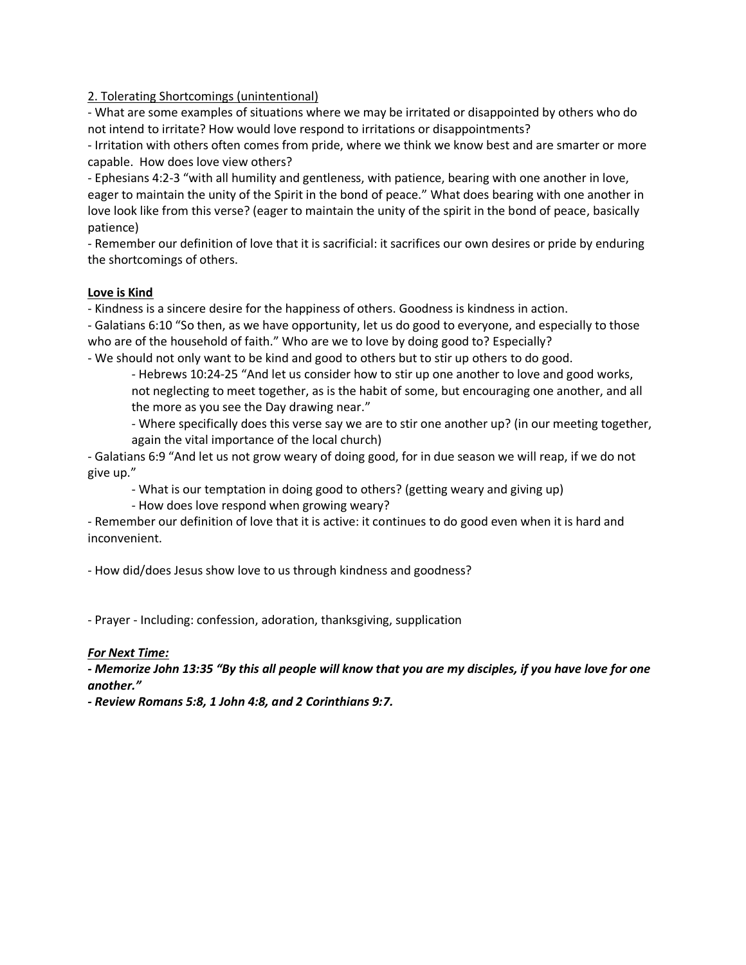2. Tolerating Shortcomings (unintentional)

- What are some examples of situations where we may be irritated or disappointed by others who do not intend to irritate? How would love respond to irritations or disappointments?

- Irritation with others often comes from pride, where we think we know best and are smarter or more capable. How does love view others?

- Ephesians 4:2-3 "with all humility and gentleness, with patience, bearing with one another in love, eager to maintain the unity of the Spirit in the bond of peace." What does bearing with one another in love look like from this verse? (eager to maintain the unity of the spirit in the bond of peace, basically patience)

- Remember our definition of love that it is sacrificial: it sacrifices our own desires or pride by enduring the shortcomings of others.

### **Love is Kind**

- Kindness is a sincere desire for the happiness of others. Goodness is kindness in action.

- Galatians 6:10 "So then, as we have opportunity, let us do good to everyone, and especially to those who are of the household of faith." Who are we to love by doing good to? Especially?

- We should not only want to be kind and good to others but to stir up others to do good.

- Hebrews 10:24-25 "And let us consider how to stir up one another to love and good works, not neglecting to meet together, as is the habit of some, but encouraging one another, and all the more as you see the Day drawing near."

- Where specifically does this verse say we are to stir one another up? (in our meeting together, again the vital importance of the local church)

- Galatians 6:9 "And let us not grow weary of doing good, for in due season we will reap, if we do not give up."

- What is our temptation in doing good to others? (getting weary and giving up)

- How does love respond when growing weary?

- Remember our definition of love that it is active: it continues to do good even when it is hard and inconvenient.

- How did/does Jesus show love to us through kindness and goodness?

- Prayer - Including: confession, adoration, thanksgiving, supplication

# *For Next Time:*

*- Memorize John 13:35 "By this all people will know that you are my disciples, if you have love for one another."*

*- Review Romans 5:8, 1 John 4:8, and 2 Corinthians 9:7.*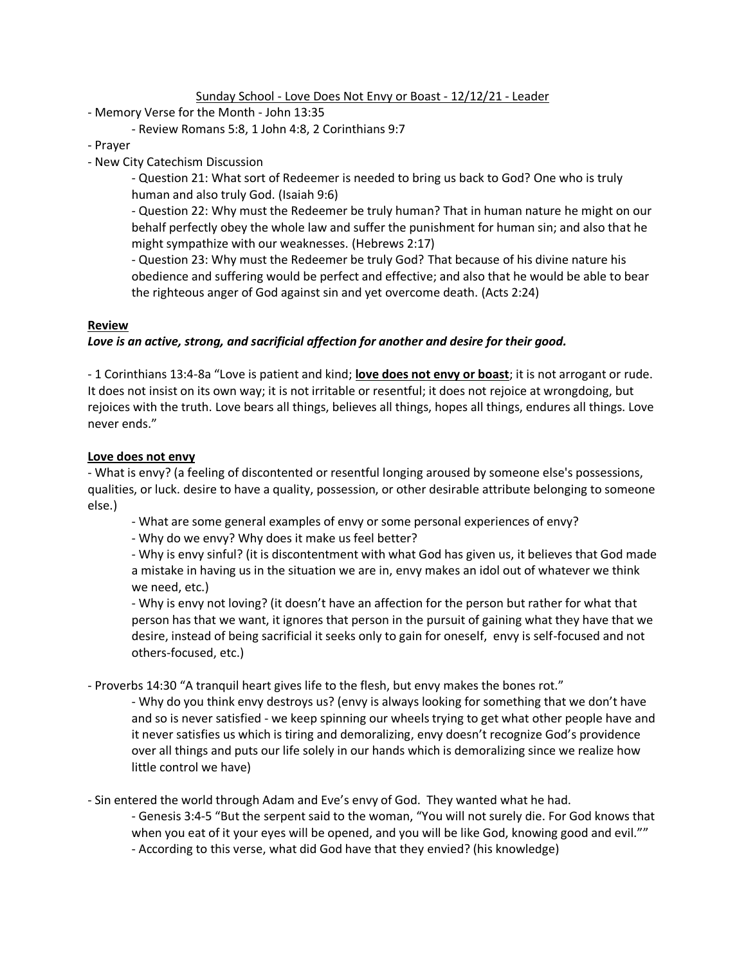Sunday School - Love Does Not Envy or Boast - 12/12/21 - Leader

- Memory Verse for the Month John 13:35
	- Review Romans 5:8, 1 John 4:8, 2 Corinthians 9:7

- Prayer

- New City Catechism Discussion

- Question 21: What sort of Redeemer is needed to bring us back to God? One who is truly human and also truly God. (Isaiah 9:6)

- Question 22: Why must the Redeemer be truly human? That in human nature he might on our behalf perfectly obey the whole law and suffer the punishment for human sin; and also that he might sympathize with our weaknesses. (Hebrews 2:17)

- Question 23: Why must the Redeemer be truly God? That because of his divine nature his obedience and suffering would be perfect and effective; and also that he would be able to bear the righteous anger of God against sin and yet overcome death. (Acts 2:24)

### **Review**

### *Love is an active, strong, and sacrificial affection for another and desire for their good.*

- 1 Corinthians 13:4-8a "Love is patient and kind; **love does not envy or boast**; it is not arrogant or rude. It does not insist on its own way; it is not irritable or resentful; it does not rejoice at wrongdoing, but rejoices with the truth. Love bears all things, believes all things, hopes all things, endures all things. Love never ends."

#### **Love does not envy**

- What is envy? (a feeling of discontented or resentful longing aroused by someone else's possessions, qualities, or luck. desire to have a quality, possession, or other desirable attribute belonging to someone else.)

- What are some general examples of envy or some personal experiences of envy?
- Why do we envy? Why does it make us feel better?

- Why is envy sinful? (it is discontentment with what God has given us, it believes that God made a mistake in having us in the situation we are in, envy makes an idol out of whatever we think we need, etc.)

- Why is envy not loving? (it doesn't have an affection for the person but rather for what that person has that we want, it ignores that person in the pursuit of gaining what they have that we desire, instead of being sacrificial it seeks only to gain for oneself, envy is self-focused and not others-focused, etc.)

- Proverbs 14:30 "A tranquil heart gives life to the flesh, but envy makes the bones rot."

- Why do you think envy destroys us? (envy is always looking for something that we don't have and so is never satisfied - we keep spinning our wheels trying to get what other people have and it never satisfies us which is tiring and demoralizing, envy doesn't recognize God's providence over all things and puts our life solely in our hands which is demoralizing since we realize how little control we have)

- Sin entered the world through Adam and Eve's envy of God. They wanted what he had.

- Genesis 3:4-5 "But the serpent said to the woman, "You will not surely die. For God knows that when you eat of it your eyes will be opened, and you will be like God, knowing good and evil."" - According to this verse, what did God have that they envied? (his knowledge)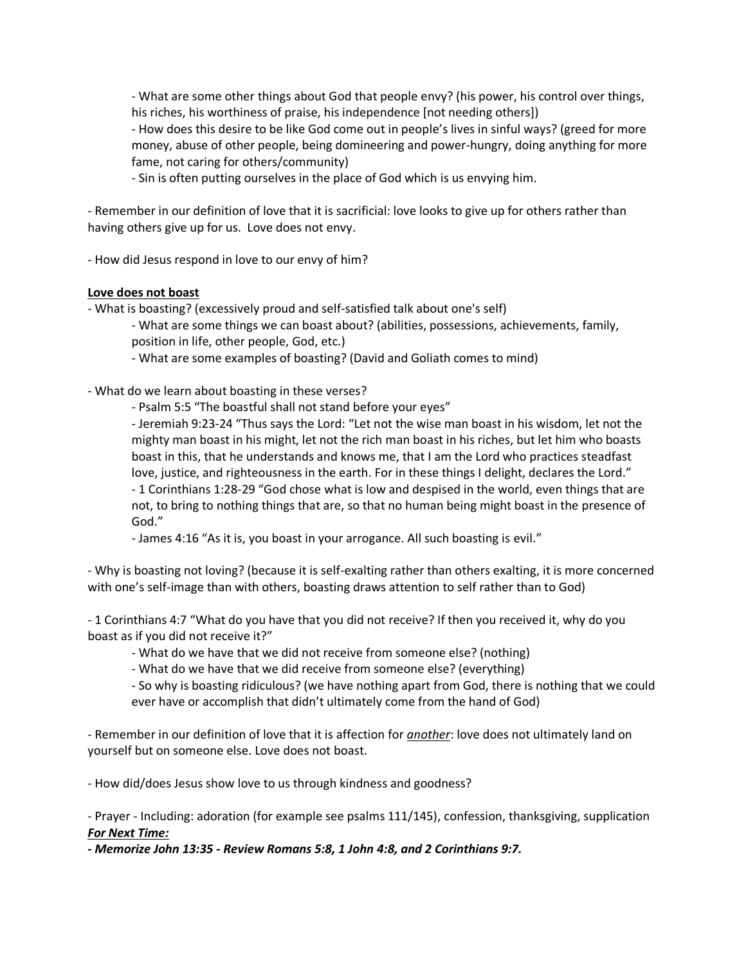- What are some other things about God that people envy? (his power, his control over things, his riches, his worthiness of praise, his independence [not needing others])

- How does this desire to be like God come out in people's lives in sinful ways? (greed for more money, abuse of other people, being domineering and power-hungry, doing anything for more fame, not caring for others/community)

- Sin is often putting ourselves in the place of God which is us envying him.

- Remember in our definition of love that it is sacrificial: love looks to give up for others rather than having others give up for us. Love does not envy.

- How did Jesus respond in love to our envy of him?

## **Love does not boast**

- What is boasting? (excessively proud and self-satisfied talk about one's self)

- What are some things we can boast about? (abilities, possessions, achievements, family, position in life, other people, God, etc.)

- What are some examples of boasting? (David and Goliath comes to mind)

- What do we learn about boasting in these verses?

- Psalm 5:5 "The boastful shall not stand before your eyes"

- Jeremiah 9:23-24 "Thus says the Lord: "Let not the wise man boast in his wisdom, let not the mighty man boast in his might, let not the rich man boast in his riches, but let him who boasts boast in this, that he understands and knows me, that I am the Lord who practices steadfast love, justice, and righteousness in the earth. For in these things I delight, declares the Lord."

- 1 Corinthians 1:28-29 "God chose what is low and despised in the world, even things that are not, to bring to nothing things that are, so that no human being might boast in the presence of God."

- James 4:16 "As it is, you boast in your arrogance. All such boasting is evil."

- Why is boasting not loving? (because it is self-exalting rather than others exalting, it is more concerned with one's self-image than with others, boasting draws attention to self rather than to God)

- 1 Corinthians 4:7 "What do you have that you did not receive? If then you received it, why do you boast as if you did not receive it?"

- What do we have that we did not receive from someone else? (nothing)

- What do we have that we did receive from someone else? (everything)

- So why is boasting ridiculous? (we have nothing apart from God, there is nothing that we could ever have or accomplish that didn't ultimately come from the hand of God)

- Remember in our definition of love that it is affection for *another*: love does not ultimately land on yourself but on someone else. Love does not boast.

- How did/does Jesus show love to us through kindness and goodness?

- Prayer - Including: adoration (for example see psalms 111/145), confession, thanksgiving, supplication *For Next Time:*

*- Memorize John 13:35 - Review Romans 5:8, 1 John 4:8, and 2 Corinthians 9:7.*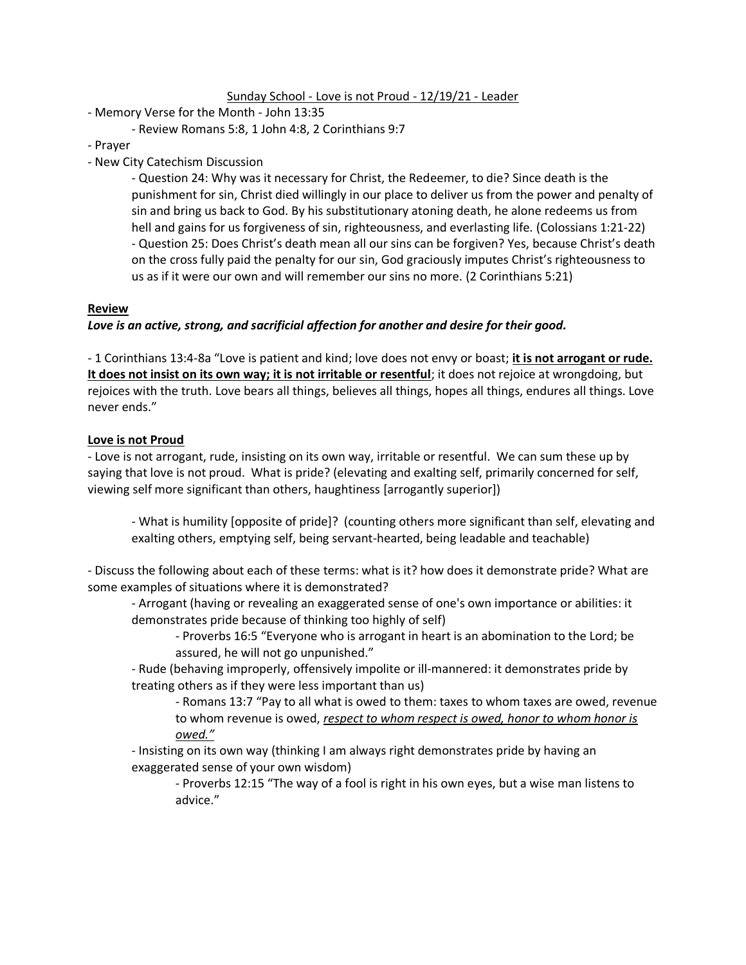#### Sunday School - Love is not Proud - 12/19/21 - Leader

- Memory Verse for the Month John 13:35
	- Review Romans 5:8, 1 John 4:8, 2 Corinthians 9:7
- Prayer
- New City Catechism Discussion

- Question 24: Why was it necessary for Christ, the Redeemer, to die? Since death is the punishment for sin, Christ died willingly in our place to deliver us from the power and penalty of sin and bring us back to God. By his substitutionary atoning death, he alone redeems us from hell and gains for us forgiveness of sin, righteousness, and everlasting life. (Colossians 1:21-22) - Question 25: Does Christ's death mean all our sins can be forgiven? Yes, because Christ's death on the cross fully paid the penalty for our sin, God graciously imputes Christ's righteousness to us as if it were our own and will remember our sins no more. (2 Corinthians 5:21)

#### **Review**

### *Love is an active, strong, and sacrificial affection for another and desire for their good.*

- 1 Corinthians 13:4-8a "Love is patient and kind; love does not envy or boast; **it is not arrogant or rude. It does not insist on its own way; it is not irritable or resentful**; it does not rejoice at wrongdoing, but rejoices with the truth. Love bears all things, believes all things, hopes all things, endures all things. Love never ends."

#### **Love is not Proud**

- Love is not arrogant, rude, insisting on its own way, irritable or resentful. We can sum these up by saying that love is not proud. What is pride? (elevating and exalting self, primarily concerned for self, viewing self more significant than others, haughtiness [arrogantly superior])

- What is humility [opposite of pride]? (counting others more significant than self, elevating and exalting others, emptying self, being servant-hearted, being leadable and teachable)

- Discuss the following about each of these terms: what is it? how does it demonstrate pride? What are some examples of situations where it is demonstrated?

- Arrogant (having or revealing an exaggerated sense of one's own importance or abilities: it demonstrates pride because of thinking too highly of self)

- Proverbs 16:5 "Everyone who is arrogant in heart is an abomination to the Lord; be assured, he will not go unpunished."

- Rude (behaving improperly, offensively impolite or ill-mannered: it demonstrates pride by treating others as if they were less important than us)

- Romans 13:7 "Pay to all what is owed to them: taxes to whom taxes are owed, revenue to whom revenue is owed, *respect to whom respect is owed, honor to whom honor is owed."*

- Insisting on its own way (thinking I am always right demonstrates pride by having an exaggerated sense of your own wisdom)

- Proverbs 12:15 "The way of a fool is right in his own eyes, but a wise man listens to advice."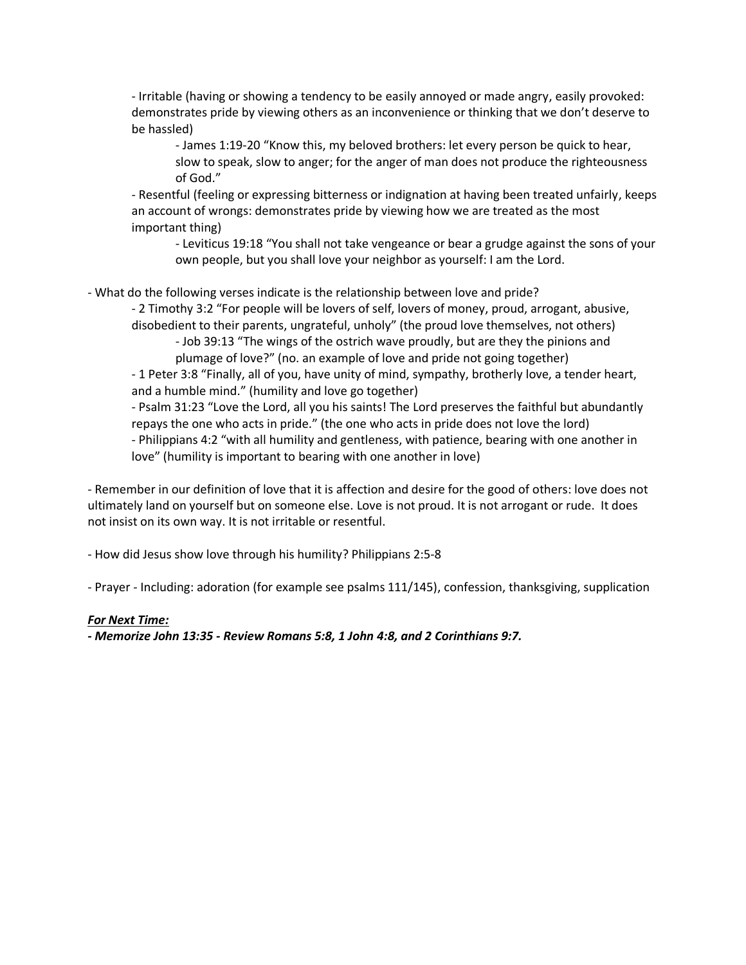- Irritable (having or showing a tendency to be easily annoyed or made angry, easily provoked: demonstrates pride by viewing others as an inconvenience or thinking that we don't deserve to be hassled)

- James 1:19-20 "Know this, my beloved brothers: let every person be quick to hear, slow to speak, slow to anger; for the anger of man does not produce the righteousness of God."

- Resentful (feeling or expressing bitterness or indignation at having been treated unfairly, keeps an account of wrongs: demonstrates pride by viewing how we are treated as the most important thing)

- Leviticus 19:18 "You shall not take vengeance or bear a grudge against the sons of your own people, but you shall love your neighbor as yourself: I am the Lord.

- What do the following verses indicate is the relationship between love and pride?

- 2 Timothy 3:2 "For people will be lovers of self, lovers of money, proud, arrogant, abusive, disobedient to their parents, ungrateful, unholy" (the proud love themselves, not others)

- Job 39:13 "The wings of the ostrich wave proudly, but are they the pinions and plumage of love?" (no. an example of love and pride not going together)

- 1 Peter 3:8 "Finally, all of you, have unity of mind, sympathy, brotherly love, a tender heart, and a humble mind." (humility and love go together)

- Psalm 31:23 "Love the Lord, all you his saints! The Lord preserves the faithful but abundantly repays the one who acts in pride." (the one who acts in pride does not love the lord) - Philippians 4:2 "with all humility and gentleness, with patience, bearing with one another in love" (humility is important to bearing with one another in love)

- Remember in our definition of love that it is affection and desire for the good of others: love does not ultimately land on yourself but on someone else. Love is not proud. It is not arrogant or rude. It does not insist on its own way. It is not irritable or resentful.

- How did Jesus show love through his humility? Philippians 2:5-8

- Prayer - Including: adoration (for example see psalms 111/145), confession, thanksgiving, supplication

### *For Next Time:*

*- Memorize John 13:35 - Review Romans 5:8, 1 John 4:8, and 2 Corinthians 9:7.*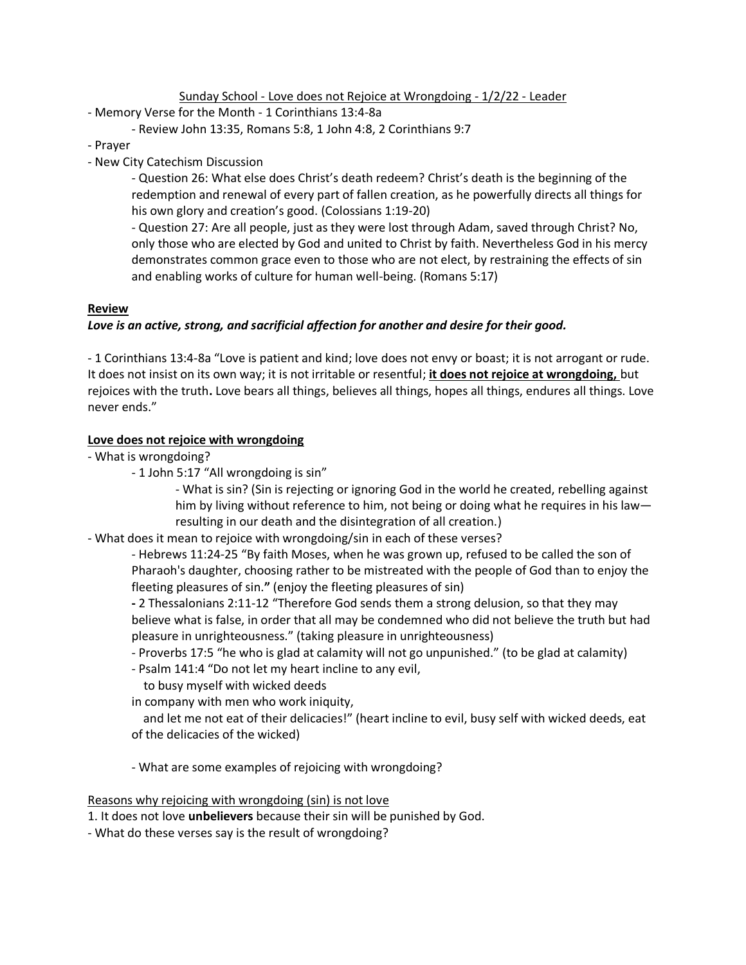Sunday School - Love does not Rejoice at Wrongdoing - 1/2/22 - Leader

- Memory Verse for the Month 1 Corinthians 13:4-8a
	- Review John 13:35, Romans 5:8, 1 John 4:8, 2 Corinthians 9:7
- Prayer
- New City Catechism Discussion

- Question 26: What else does Christ's death redeem? Christ's death is the beginning of the redemption and renewal of every part of fallen creation, as he powerfully directs all things for his own glory and creation's good. (Colossians 1:19-20)

- Question 27: Are all people, just as they were lost through Adam, saved through Christ? No, only those who are elected by God and united to Christ by faith. Nevertheless God in his mercy demonstrates common grace even to those who are not elect, by restraining the effects of sin and enabling works of culture for human well-being. (Romans 5:17)

#### **Review**

### *Love is an active, strong, and sacrificial affection for another and desire for their good.*

- 1 Corinthians 13:4-8a "Love is patient and kind; love does not envy or boast; it is not arrogant or rude. It does not insist on its own way; it is not irritable or resentful; **it does not rejoice at wrongdoing,** but rejoices with the truth**.** Love bears all things, believes all things, hopes all things, endures all things. Love never ends."

#### **Love does not rejoice with wrongdoing**

- What is wrongdoing?
	- 1 John 5:17 "All wrongdoing is sin"

- What is sin? (Sin is rejecting or ignoring God in the world he created, rebelling against him by living without reference to him, not being or doing what he requires in his law resulting in our death and the disintegration of all creation.)

- What does it mean to rejoice with wrongdoing/sin in each of these verses?

- Hebrews 11:24-25 "By faith Moses, when he was grown up, refused to be called the son of Pharaoh's daughter, choosing rather to be mistreated with the people of God than to enjoy the fleeting pleasures of sin.**"** (enjoy the fleeting pleasures of sin)

**-** 2 Thessalonians 2:11-12 "Therefore God sends them a strong delusion, so that they may believe what is false, in order that all may be condemned who did not believe the truth but had pleasure in unrighteousness." (taking pleasure in unrighteousness)

- Proverbs 17:5 "he who is glad at calamity will not go unpunished." (to be glad at calamity)
- Psalm 141:4 "Do not let my heart incline to any evil,
- to busy myself with wicked deeds

in company with men who work iniquity,

 and let me not eat of their delicacies!" (heart incline to evil, busy self with wicked deeds, eat of the delicacies of the wicked)

- What are some examples of rejoicing with wrongdoing?

Reasons why rejoicing with wrongdoing (sin) is not love

1. It does not love **unbelievers** because their sin will be punished by God.

- What do these verses say is the result of wrongdoing?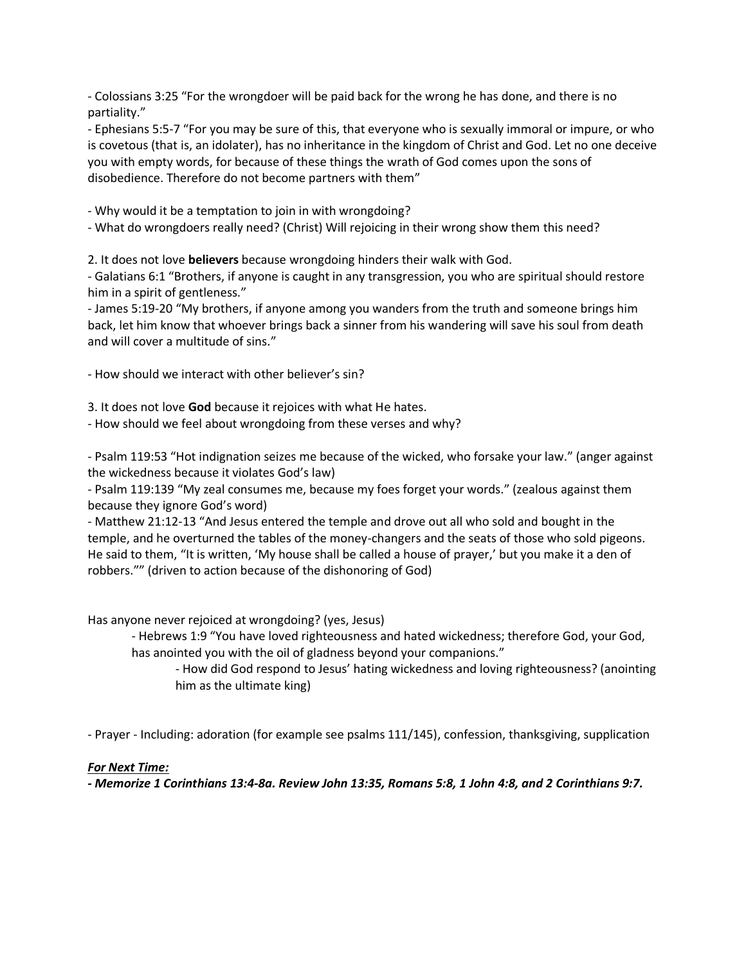- Colossians 3:25 "For the wrongdoer will be paid back for the wrong he has done, and there is no partiality."

- Ephesians 5:5-7 "For you may be sure of this, that everyone who is sexually immoral or impure, or who is covetous (that is, an idolater), has no inheritance in the kingdom of Christ and God. Let no one deceive you with empty words, for because of these things the wrath of God comes upon the sons of disobedience. Therefore do not become partners with them"

- Why would it be a temptation to join in with wrongdoing?

- What do wrongdoers really need? (Christ) Will rejoicing in their wrong show them this need?

2. It does not love **believers** because wrongdoing hinders their walk with God.

- Galatians 6:1 "Brothers, if anyone is caught in any transgression, you who are spiritual should restore him in a spirit of gentleness."

- James 5:19-20 "My brothers, if anyone among you wanders from the truth and someone brings him back, let him know that whoever brings back a sinner from his wandering will save his soul from death and will cover a multitude of sins."

- How should we interact with other believer's sin?

3. It does not love **God** because it rejoices with what He hates.

- How should we feel about wrongdoing from these verses and why?

- Psalm 119:53 "Hot indignation seizes me because of the wicked, who forsake your law." (anger against the wickedness because it violates God's law)

- Psalm 119:139 "My zeal consumes me, because my foes forget your words." (zealous against them because they ignore God's word)

- Matthew 21:12-13 "And Jesus entered the temple and drove out all who sold and bought in the temple, and he overturned the tables of the money-changers and the seats of those who sold pigeons. He said to them, "It is written, 'My house shall be called a house of prayer,' but you make it a den of robbers."" (driven to action because of the dishonoring of God)

Has anyone never rejoiced at wrongdoing? (yes, Jesus)

- Hebrews 1:9 "You have loved righteousness and hated wickedness; therefore God, your God, has anointed you with the oil of gladness beyond your companions."

- How did God respond to Jesus' hating wickedness and loving righteousness? (anointing him as the ultimate king)

- Prayer - Including: adoration (for example see psalms 111/145), confession, thanksgiving, supplication

### *For Next Time:*

*- Memorize 1 Corinthians 13:4-8a. Review John 13:35, Romans 5:8, 1 John 4:8, and 2 Corinthians 9:7.*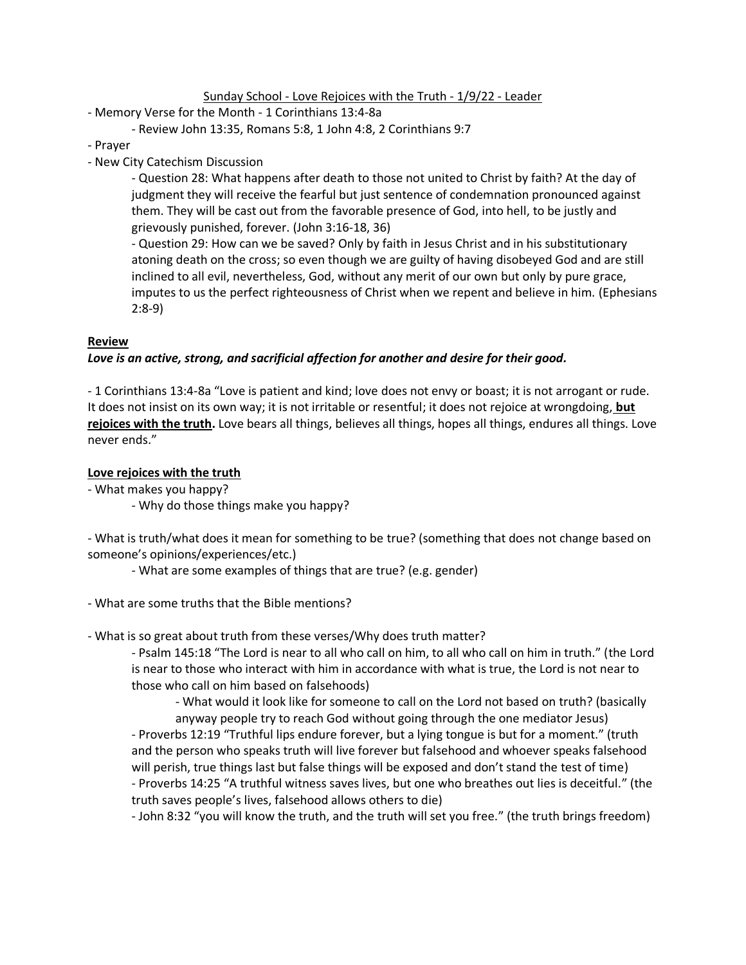Sunday School - Love Rejoices with the Truth - 1/9/22 - Leader

- Memory Verse for the Month 1 Corinthians 13:4-8a
	- Review John 13:35, Romans 5:8, 1 John 4:8, 2 Corinthians 9:7
- Prayer
- New City Catechism Discussion

- Question 28: What happens after death to those not united to Christ by faith? At the day of judgment they will receive the fearful but just sentence of condemnation pronounced against them. They will be cast out from the favorable presence of God, into hell, to be justly and grievously punished, forever. (John 3:16-18, 36)

- Question 29: How can we be saved? Only by faith in Jesus Christ and in his substitutionary atoning death on the cross; so even though we are guilty of having disobeyed God and are still inclined to all evil, nevertheless, God, without any merit of our own but only by pure grace, imputes to us the perfect righteousness of Christ when we repent and believe in him. (Ephesians 2:8-9)

### **Review**

### *Love is an active, strong, and sacrificial affection for another and desire for their good.*

- 1 Corinthians 13:4-8a "Love is patient and kind; love does not envy or boast; it is not arrogant or rude. It does not insist on its own way; it is not irritable or resentful; it does not rejoice at wrongdoing, **but rejoices with the truth.** Love bears all things, believes all things, hopes all things, endures all things. Love never ends."

### **Love rejoices with the truth**

- What makes you happy?
	- Why do those things make you happy?

- What is truth/what does it mean for something to be true? (something that does not change based on someone's opinions/experiences/etc.)

- What are some examples of things that are true? (e.g. gender)

- What are some truths that the Bible mentions?
- What is so great about truth from these verses/Why does truth matter?

- Psalm 145:18 "The Lord is near to all who call on him, to all who call on him in truth." (the Lord is near to those who interact with him in accordance with what is true, the Lord is not near to those who call on him based on falsehoods)

- What would it look like for someone to call on the Lord not based on truth? (basically anyway people try to reach God without going through the one mediator Jesus)

- Proverbs 12:19 "Truthful lips endure forever, but a lying tongue is but for a moment." (truth and the person who speaks truth will live forever but falsehood and whoever speaks falsehood will perish, true things last but false things will be exposed and don't stand the test of time) - Proverbs 14:25 "A truthful witness saves lives, but one who breathes out lies is deceitful." (the truth saves people's lives, falsehood allows others to die)

- John 8:32 "you will know the truth, and the truth will set you free." (the truth brings freedom)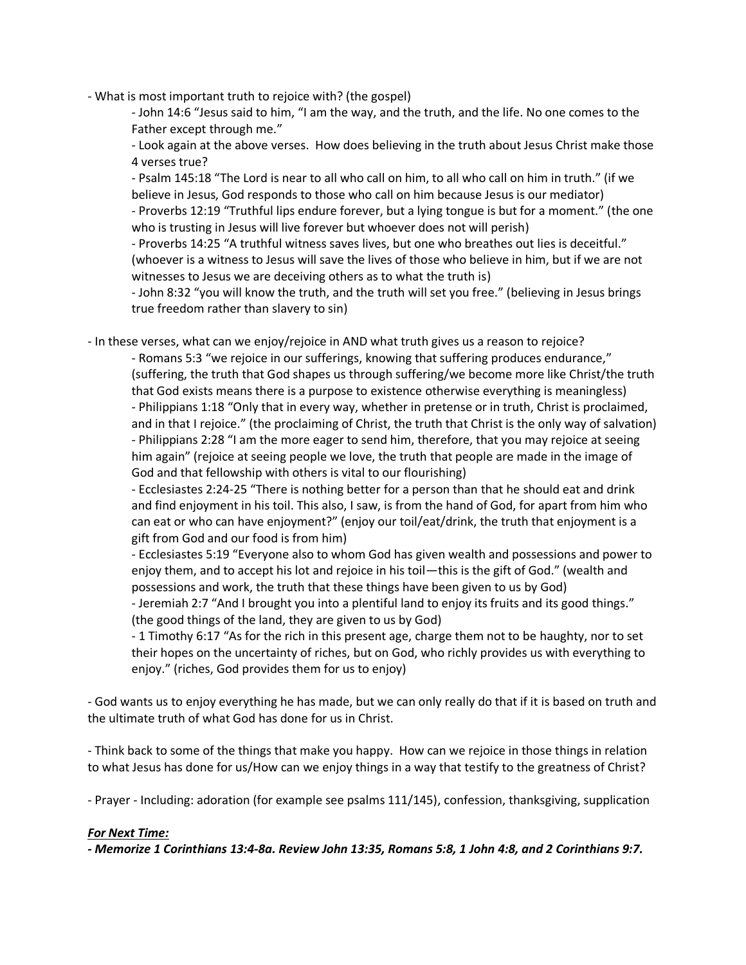- What is most important truth to rejoice with? (the gospel)

- John 14:6 "Jesus said to him, "I am the way, and the truth, and the life. No one comes to the Father except through me."

- Look again at the above verses. How does believing in the truth about Jesus Christ make those 4 verses true?

- Psalm 145:18 "The Lord is near to all who call on him, to all who call on him in truth." (if we believe in Jesus, God responds to those who call on him because Jesus is our mediator)

- Proverbs 12:19 "Truthful lips endure forever, but a lying tongue is but for a moment." (the one who is trusting in Jesus will live forever but whoever does not will perish)

- Proverbs 14:25 "A truthful witness saves lives, but one who breathes out lies is deceitful." (whoever is a witness to Jesus will save the lives of those who believe in him, but if we are not witnesses to Jesus we are deceiving others as to what the truth is)

- John 8:32 "you will know the truth, and the truth will set you free." (believing in Jesus brings true freedom rather than slavery to sin)

- In these verses, what can we enjoy/rejoice in AND what truth gives us a reason to rejoice?

- Romans 5:3 "we rejoice in our sufferings, knowing that suffering produces endurance," (suffering, the truth that God shapes us through suffering/we become more like Christ/the truth that God exists means there is a purpose to existence otherwise everything is meaningless) - Philippians 1:18 "Only that in every way, whether in pretense or in truth, Christ is proclaimed, and in that I rejoice." (the proclaiming of Christ, the truth that Christ is the only way of salvation) - Philippians 2:28 "I am the more eager to send him, therefore, that you may rejoice at seeing him again" (rejoice at seeing people we love, the truth that people are made in the image of God and that fellowship with others is vital to our flourishing)

- Ecclesiastes 2:24-25 "There is nothing better for a person than that he should eat and drink and find enjoyment in his toil. This also, I saw, is from the hand of God, for apart from him who can eat or who can have enjoyment?" (enjoy our toil/eat/drink, the truth that enjoyment is a gift from God and our food is from him)

- Ecclesiastes 5:19 "Everyone also to whom God has given wealth and possessions and power to enjoy them, and to accept his lot and rejoice in his toil—this is the gift of God." (wealth and possessions and work, the truth that these things have been given to us by God)

- Jeremiah 2:7 "And I brought you into a plentiful land to enjoy its fruits and its good things." (the good things of the land, they are given to us by God)

- 1 Timothy 6:17 "As for the rich in this present age, charge them not to be haughty, nor to set their hopes on the uncertainty of riches, but on God, who richly provides us with everything to enjoy." (riches, God provides them for us to enjoy)

- God wants us to enjoy everything he has made, but we can only really do that if it is based on truth and the ultimate truth of what God has done for us in Christ.

- Think back to some of the things that make you happy. How can we rejoice in those things in relation to what Jesus has done for us/How can we enjoy things in a way that testify to the greatness of Christ?

- Prayer - Including: adoration (for example see psalms 111/145), confession, thanksgiving, supplication

### *For Next Time:*

*- Memorize 1 Corinthians 13:4-8a. Review John 13:35, Romans 5:8, 1 John 4:8, and 2 Corinthians 9:7.*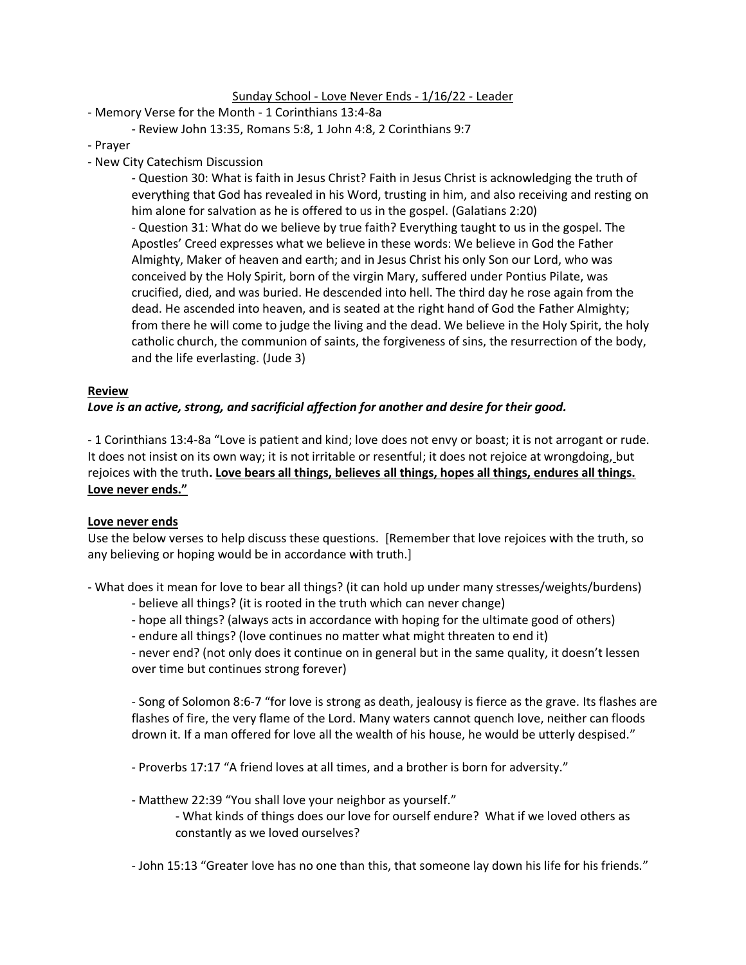#### Sunday School - Love Never Ends - 1/16/22 - Leader

- Memory Verse for the Month 1 Corinthians 13:4-8a
	- Review John 13:35, Romans 5:8, 1 John 4:8, 2 Corinthians 9:7
- Prayer
- New City Catechism Discussion

- Question 30: What is faith in Jesus Christ? Faith in Jesus Christ is acknowledging the truth of everything that God has revealed in his Word, trusting in him, and also receiving and resting on him alone for salvation as he is offered to us in the gospel. (Galatians 2:20) - Question 31: What do we believe by true faith? Everything taught to us in the gospel. The Apostles' Creed expresses what we believe in these words: We believe in God the Father Almighty, Maker of heaven and earth; and in Jesus Christ his only Son our Lord, who was conceived by the Holy Spirit, born of the virgin Mary, suffered under Pontius Pilate, was crucified, died, and was buried. He descended into hell. The third day he rose again from the

dead. He ascended into heaven, and is seated at the right hand of God the Father Almighty; from there he will come to judge the living and the dead. We believe in the Holy Spirit, the holy catholic church, the communion of saints, the forgiveness of sins, the resurrection of the body, and the life everlasting. (Jude 3)

#### **Review**

### *Love is an active, strong, and sacrificial affection for another and desire for their good.*

- 1 Corinthians 13:4-8a "Love is patient and kind; love does not envy or boast; it is not arrogant or rude. It does not insist on its own way; it is not irritable or resentful; it does not rejoice at wrongdoing, but rejoices with the truth**. Love bears all things, believes all things, hopes all things, endures all things. Love never ends."**

### **Love never ends**

Use the below verses to help discuss these questions. [Remember that love rejoices with the truth, so any believing or hoping would be in accordance with truth.]

- What does it mean for love to bear all things? (it can hold up under many stresses/weights/burdens)

- believe all things? (it is rooted in the truth which can never change)
- hope all things? (always acts in accordance with hoping for the ultimate good of others)
- endure all things? (love continues no matter what might threaten to end it)

- never end? (not only does it continue on in general but in the same quality, it doesn't lessen over time but continues strong forever)

- Song of Solomon 8:6-7 "for love is strong as death, jealousy is fierce as the grave. Its flashes are flashes of fire, the very flame of the Lord. Many waters cannot quench love, neither can floods drown it. If a man offered for love all the wealth of his house, he would be utterly despised."

- Proverbs 17:17 "A friend loves at all times, and a brother is born for adversity."

- Matthew 22:39 "You shall love your neighbor as yourself."

- What kinds of things does our love for ourself endure? What if we loved others as constantly as we loved ourselves?

- John 15:13 "Greater love has no one than this, that someone lay down his life for his friends."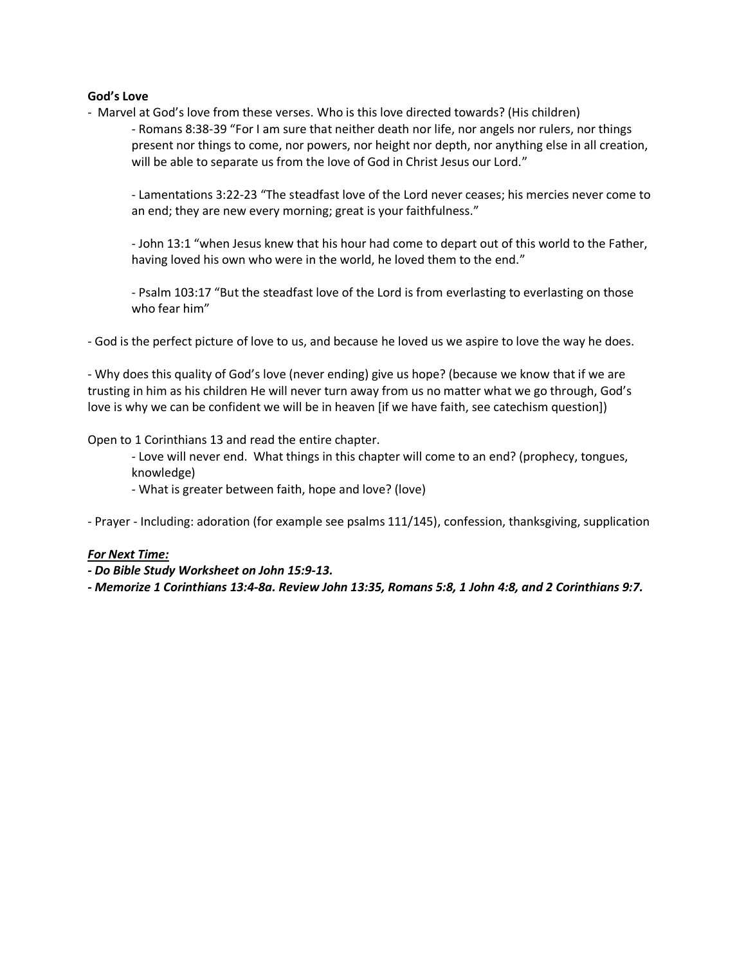#### **God's Love**

- Marvel at God's love from these verses. Who is this love directed towards? (His children)

- Romans 8:38-39 "For I am sure that neither death nor life, nor angels nor rulers, nor things present nor things to come, nor powers, nor height nor depth, nor anything else in all creation, will be able to separate us from the love of God in Christ Jesus our Lord."

- Lamentations 3:22-23 "The steadfast love of the Lord never ceases; his mercies never come to an end; they are new every morning; great is your faithfulness."

- John 13:1 "when Jesus knew that his hour had come to depart out of this world to the Father, having loved his own who were in the world, he loved them to the end."

- Psalm 103:17 "But the steadfast love of the Lord is from everlasting to everlasting on those who fear him"

- God is the perfect picture of love to us, and because he loved us we aspire to love the way he does.

- Why does this quality of God's love (never ending) give us hope? (because we know that if we are trusting in him as his children He will never turn away from us no matter what we go through, God's love is why we can be confident we will be in heaven [if we have faith, see catechism question])

Open to 1 Corinthians 13 and read the entire chapter.

- Love will never end. What things in this chapter will come to an end? (prophecy, tongues, knowledge)
- What is greater between faith, hope and love? (love)

- Prayer - Including: adoration (for example see psalms 111/145), confession, thanksgiving, supplication

#### *For Next Time:*

*- Do Bible Study Worksheet on John 15:9-13.*

*- Memorize 1 Corinthians 13:4-8a. Review John 13:35, Romans 5:8, 1 John 4:8, and 2 Corinthians 9:7.*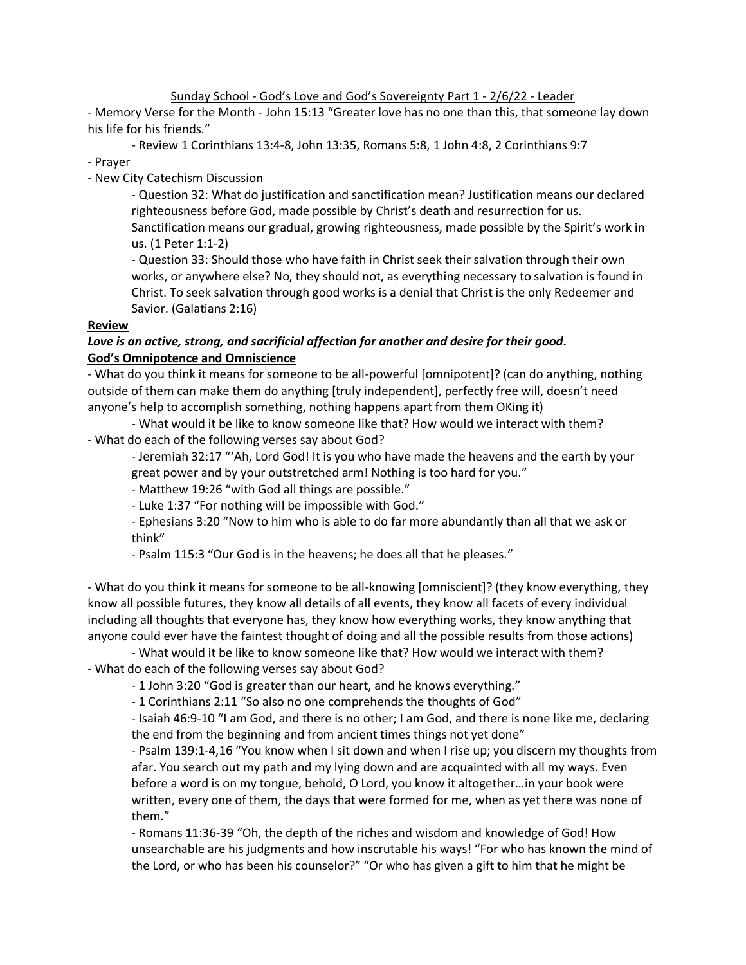Sunday School - God's Love and God's Sovereignty Part 1 - 2/6/22 - Leader

- Memory Verse for the Month - John 15:13 "Greater love has no one than this, that someone lay down his life for his friends."

- Review 1 Corinthians 13:4-8, John 13:35, Romans 5:8, 1 John 4:8, 2 Corinthians 9:7

- Prayer

- New City Catechism Discussion

- Question 32: What do justification and sanctification mean? Justification means our declared righteousness before God, made possible by Christ's death and resurrection for us. Sanctification means our gradual, growing righteousness, made possible by the Spirit's work in us. (1 Peter 1:1-2)

- Question 33: Should those who have faith in Christ seek their salvation through their own works, or anywhere else? No, they should not, as everything necessary to salvation is found in Christ. To seek salvation through good works is a denial that Christ is the only Redeemer and Savior. (Galatians 2:16)

# **Review**

# *Love is an active, strong, and sacrificial affection for another and desire for their good.* **God's Omnipotence and Omniscience**

- What do you think it means for someone to be all-powerful [omnipotent]? (can do anything, nothing outside of them can make them do anything [truly independent], perfectly free will, doesn't need anyone's help to accomplish something, nothing happens apart from them OKing it)

- What would it be like to know someone like that? How would we interact with them? - What do each of the following verses say about God?

- Jeremiah 32:17 "'Ah, Lord God! It is you who have made the heavens and the earth by your great power and by your outstretched arm! Nothing is too hard for you."

- Matthew 19:26 "with God all things are possible."

- Luke 1:37 "For nothing will be impossible with God."

- Ephesians 3:20 "Now to him who is able to do far more abundantly than all that we ask or think"

- Psalm 115:3 "Our God is in the heavens; he does all that he pleases."

- What do you think it means for someone to be all-knowing [omniscient]? (they know everything, they know all possible futures, they know all details of all events, they know all facets of every individual including all thoughts that everyone has, they know how everything works, they know anything that anyone could ever have the faintest thought of doing and all the possible results from those actions)

- What would it be like to know someone like that? How would we interact with them? - What do each of the following verses say about God?

- 1 John 3:20 "God is greater than our heart, and he knows everything."

- 1 Corinthians 2:11 "So also no one comprehends the thoughts of God"

- Isaiah 46:9-10 "I am God, and there is no other; I am God, and there is none like me, declaring the end from the beginning and from ancient times things not yet done"

- Psalm 139:1-4,16 "You know when I sit down and when I rise up; you discern my thoughts from afar. You search out my path and my lying down and are acquainted with all my ways. Even before a word is on my tongue, behold, O Lord, you know it altogether…in your book were written, every one of them, the days that were formed for me, when as yet there was none of them."

- Romans 11:36-39 "Oh, the depth of the riches and wisdom and knowledge of God! How unsearchable are his judgments and how inscrutable his ways! "For who has known the mind of the Lord, or who has been his counselor?" "Or who has given a gift to him that he might be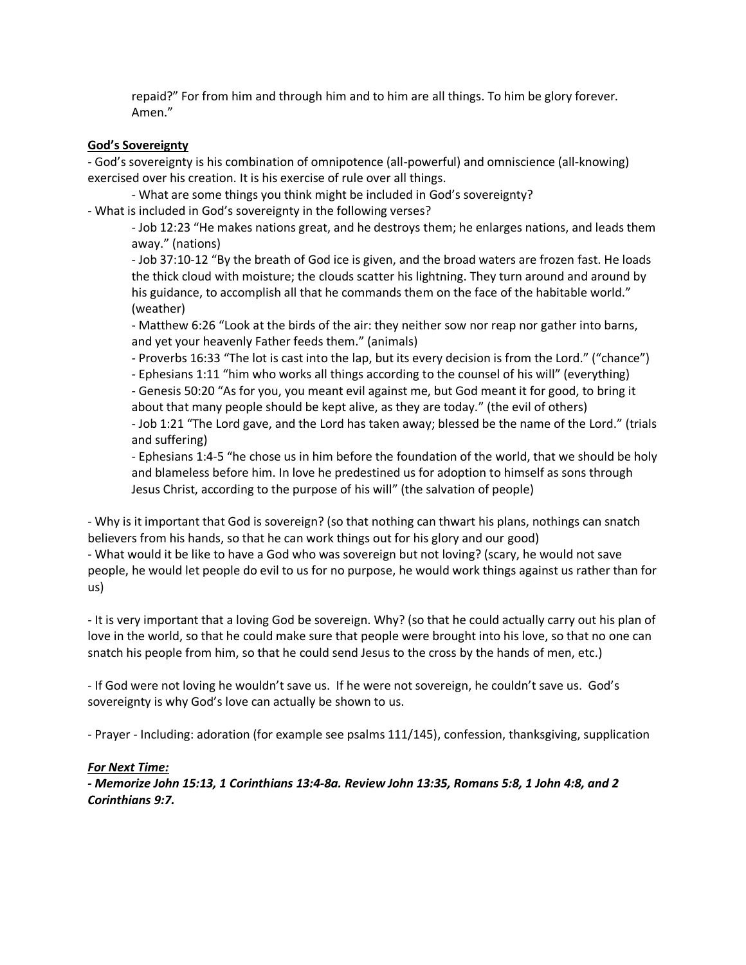repaid?" For from him and through him and to him are all things. To him be glory forever. Amen."

### **God's Sovereignty**

- God's sovereignty is his combination of omnipotence (all-powerful) and omniscience (all-knowing) exercised over his creation. It is his exercise of rule over all things.

- What are some things you think might be included in God's sovereignty? - What is included in God's sovereignty in the following verses?

- Job 12:23 "He makes nations great, and he destroys them; he enlarges nations, and leads them away." (nations)

- Job 37:10-12 "By the breath of God ice is given, and the broad waters are frozen fast. He loads the thick cloud with moisture; the clouds scatter his lightning. They turn around and around by his guidance, to accomplish all that he commands them on the face of the habitable world." (weather)

- Matthew 6:26 "Look at the birds of the air: they neither sow nor reap nor gather into barns, and yet your heavenly Father feeds them." (animals)

- Proverbs 16:33 "The lot is cast into the lap, but its every decision is from the Lord." ("chance")

- Ephesians 1:11 "him who works all things according to the counsel of his will" (everything)

- Genesis 50:20 "As for you, you meant evil against me, but God meant it for good, to bring it about that many people should be kept alive, as they are today." (the evil of others)

- Job 1:21 "The Lord gave, and the Lord has taken away; blessed be the name of the Lord." (trials and suffering)

- Ephesians 1:4-5 "he chose us in him before the foundation of the world, that we should be holy and blameless before him. In love he predestined us for adoption to himself as sons through Jesus Christ, according to the purpose of his will" (the salvation of people)

- Why is it important that God is sovereign? (so that nothing can thwart his plans, nothings can snatch believers from his hands, so that he can work things out for his glory and our good)

- What would it be like to have a God who was sovereign but not loving? (scary, he would not save people, he would let people do evil to us for no purpose, he would work things against us rather than for us)

- It is very important that a loving God be sovereign. Why? (so that he could actually carry out his plan of love in the world, so that he could make sure that people were brought into his love, so that no one can snatch his people from him, so that he could send Jesus to the cross by the hands of men, etc.)

- If God were not loving he wouldn't save us. If he were not sovereign, he couldn't save us. God's sovereignty is why God's love can actually be shown to us.

- Prayer - Including: adoration (for example see psalms 111/145), confession, thanksgiving, supplication

# *For Next Time:*

*- Memorize John 15:13, 1 Corinthians 13:4-8a. Review John 13:35, Romans 5:8, 1 John 4:8, and 2 Corinthians 9:7.*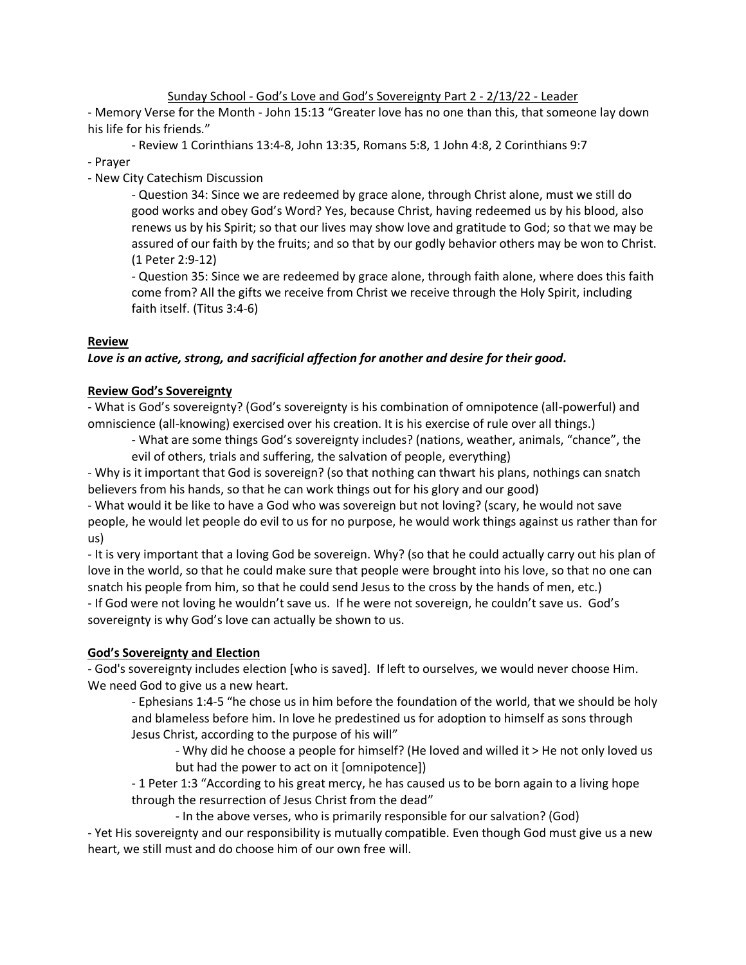Sunday School - God's Love and God's Sovereignty Part 2 - 2/13/22 - Leader

- Memory Verse for the Month - John 15:13 "Greater love has no one than this, that someone lay down his life for his friends."

- Review 1 Corinthians 13:4-8, John 13:35, Romans 5:8, 1 John 4:8, 2 Corinthians 9:7

- Prayer

- New City Catechism Discussion

- Question 34: Since we are redeemed by grace alone, through Christ alone, must we still do good works and obey God's Word? Yes, because Christ, having redeemed us by his blood, also renews us by his Spirit; so that our lives may show love and gratitude to God; so that we may be assured of our faith by the fruits; and so that by our godly behavior others may be won to Christ. (1 Peter 2:9-12)

- Question 35: Since we are redeemed by grace alone, through faith alone, where does this faith come from? All the gifts we receive from Christ we receive through the Holy Spirit, including faith itself. (Titus 3:4-6)

# **Review**

# *Love is an active, strong, and sacrificial affection for another and desire for their good.*

# **Review God's Sovereignty**

- What is God's sovereignty? (God's sovereignty is his combination of omnipotence (all-powerful) and omniscience (all-knowing) exercised over his creation. It is his exercise of rule over all things.)

- What are some things God's sovereignty includes? (nations, weather, animals, "chance", the evil of others, trials and suffering, the salvation of people, everything)

- Why is it important that God is sovereign? (so that nothing can thwart his plans, nothings can snatch believers from his hands, so that he can work things out for his glory and our good)

- What would it be like to have a God who was sovereign but not loving? (scary, he would not save people, he would let people do evil to us for no purpose, he would work things against us rather than for us)

- It is very important that a loving God be sovereign. Why? (so that he could actually carry out his plan of love in the world, so that he could make sure that people were brought into his love, so that no one can snatch his people from him, so that he could send Jesus to the cross by the hands of men, etc.) - If God were not loving he wouldn't save us. If he were not sovereign, he couldn't save us. God's sovereignty is why God's love can actually be shown to us.

# **God's Sovereignty and Election**

- God's sovereignty includes election [who is saved]. If left to ourselves, we would never choose Him. We need God to give us a new heart.

- Ephesians 1:4-5 "he chose us in him before the foundation of the world, that we should be holy and blameless before him. In love he predestined us for adoption to himself as sons through Jesus Christ, according to the purpose of his will"

- Why did he choose a people for himself? (He loved and willed it > He not only loved us but had the power to act on it [omnipotence])

- 1 Peter 1:3 "According to his great mercy, he has caused us to be born again to a living hope through the resurrection of Jesus Christ from the dead"

- In the above verses, who is primarily responsible for our salvation? (God)

- Yet His sovereignty and our responsibility is mutually compatible. Even though God must give us a new heart, we still must and do choose him of our own free will.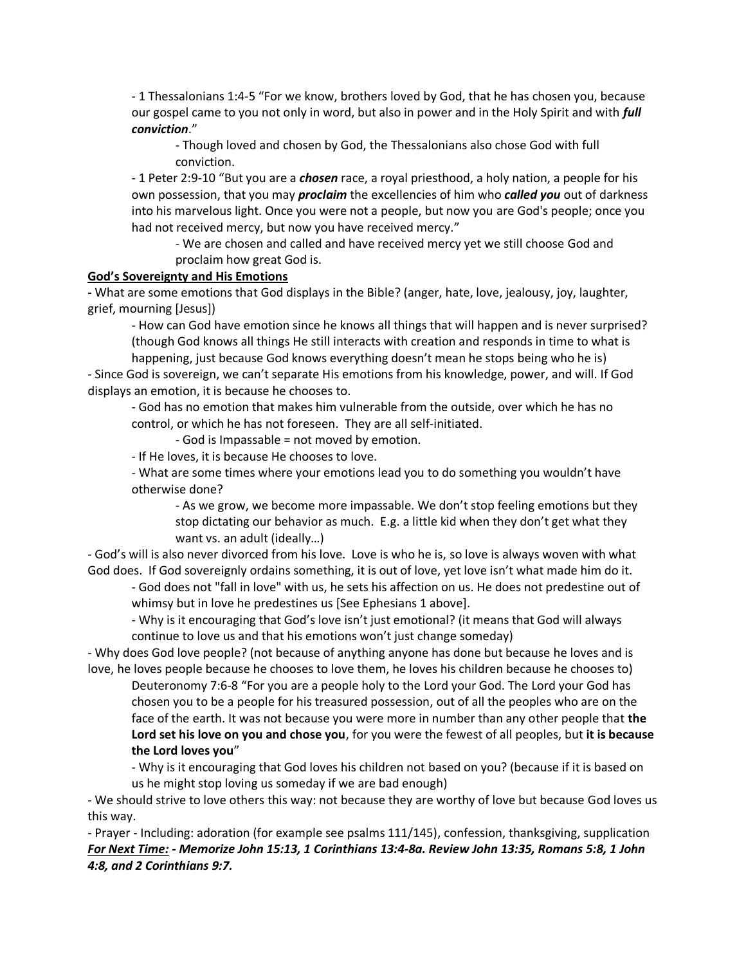- 1 Thessalonians 1:4-5 "For we know, brothers loved by God, that he has chosen you, because our gospel came to you not only in word, but also in power and in the Holy Spirit and with *full conviction*."

- Though loved and chosen by God, the Thessalonians also chose God with full conviction.

- 1 Peter 2:9-10 "But you are a *chosen* race, a royal priesthood, a holy nation, a people for his own possession, that you may *proclaim* the excellencies of him who *called you* out of darkness into his marvelous light. Once you were not a people, but now you are God's people; once you had not received mercy, but now you have received mercy."

- We are chosen and called and have received mercy yet we still choose God and proclaim how great God is.

#### **God's Sovereignty and His Emotions**

**-** What are some emotions that God displays in the Bible? (anger, hate, love, jealousy, joy, laughter, grief, mourning [Jesus])

- How can God have emotion since he knows all things that will happen and is never surprised? (though God knows all things He still interacts with creation and responds in time to what is

happening, just because God knows everything doesn't mean he stops being who he is) - Since God is sovereign, we can't separate His emotions from his knowledge, power, and will. If God displays an emotion, it is because he chooses to.

- God has no emotion that makes him vulnerable from the outside, over which he has no control, or which he has not foreseen. They are all self-initiated.

- God is Impassable = not moved by emotion.

- If He loves, it is because He chooses to love.

- What are some times where your emotions lead you to do something you wouldn't have otherwise done?

- As we grow, we become more impassable. We don't stop feeling emotions but they stop dictating our behavior as much. E.g. a little kid when they don't get what they want vs. an adult (ideally…)

- God's will is also never divorced from his love. Love is who he is, so love is always woven with what God does. If God sovereignly ordains something, it is out of love, yet love isn't what made him do it.

- God does not "fall in love" with us, he sets his affection on us. He does not predestine out of whimsy but in love he predestines us [See Ephesians 1 above].

- Why is it encouraging that God's love isn't just emotional? (it means that God will always continue to love us and that his emotions won't just change someday)

- Why does God love people? (not because of anything anyone has done but because he loves and is love, he loves people because he chooses to love them, he loves his children because he chooses to)

Deuteronomy 7:6-8 "For you are a people holy to the Lord your God. The Lord your God has chosen you to be a people for his treasured possession, out of all the peoples who are on the face of the earth. It was not because you were more in number than any other people that **the Lord set his love on you and chose you**, for you were the fewest of all peoples, but **it is because the Lord loves you**"

- Why is it encouraging that God loves his children not based on you? (because if it is based on us he might stop loving us someday if we are bad enough)

- We should strive to love others this way: not because they are worthy of love but because God loves us this way.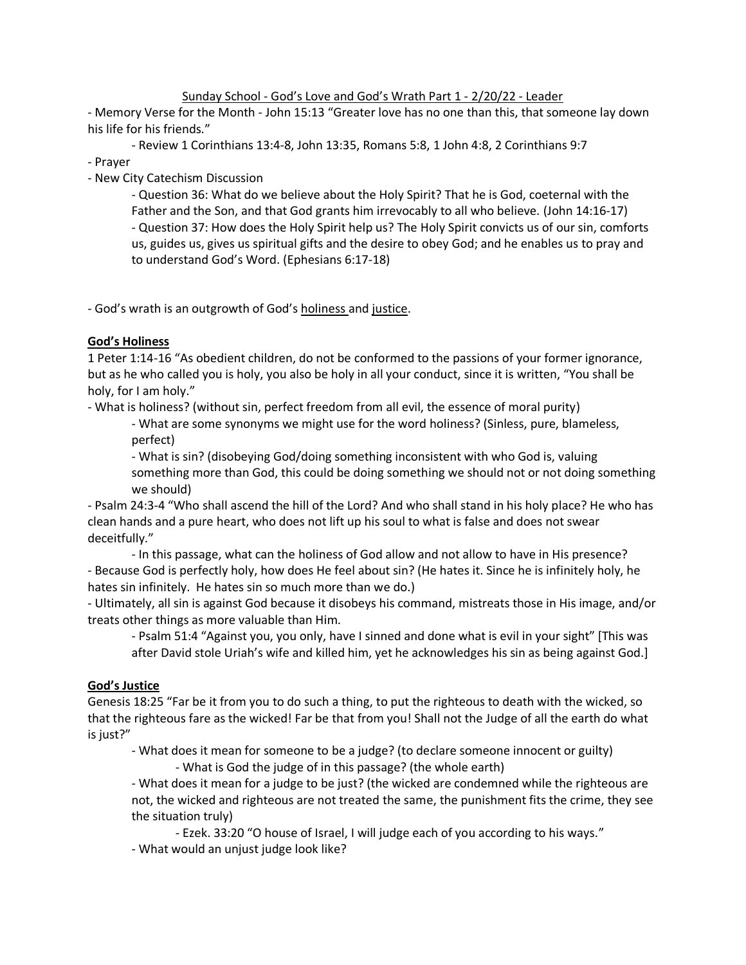### Sunday School - God's Love and God's Wrath Part 1 - 2/20/22 - Leader

- Memory Verse for the Month - John 15:13 "Greater love has no one than this, that someone lay down his life for his friends."

- Review 1 Corinthians 13:4-8, John 13:35, Romans 5:8, 1 John 4:8, 2 Corinthians 9:7

- Prayer

- New City Catechism Discussion

- Question 36: What do we believe about the Holy Spirit? That he is God, coeternal with the Father and the Son, and that God grants him irrevocably to all who believe. (John 14:16-17) - Question 37: How does the Holy Spirit help us? The Holy Spirit convicts us of our sin, comforts us, guides us, gives us spiritual gifts and the desire to obey God; and he enables us to pray and to understand God's Word. (Ephesians 6:17-18)

- God's wrath is an outgrowth of God's holiness and justice.

## **God's Holiness**

1 Peter 1:14-16 "As obedient children, do not be conformed to the passions of your former ignorance, but as he who called you is holy, you also be holy in all your conduct, since it is written, "You shall be holy, for I am holy."

- What is holiness? (without sin, perfect freedom from all evil, the essence of moral purity)

- What are some synonyms we might use for the word holiness? (Sinless, pure, blameless, perfect)

- What is sin? (disobeying God/doing something inconsistent with who God is, valuing something more than God, this could be doing something we should not or not doing something we should)

- Psalm 24:3-4 "Who shall ascend the hill of the Lord? And who shall stand in his holy place? He who has clean hands and a pure heart, who does not lift up his soul to what is false and does not swear deceitfully."

- In this passage, what can the holiness of God allow and not allow to have in His presence? - Because God is perfectly holy, how does He feel about sin? (He hates it. Since he is infinitely holy, he hates sin infinitely. He hates sin so much more than we do.)

- Ultimately, all sin is against God because it disobeys his command, mistreats those in His image, and/or treats other things as more valuable than Him.

- Psalm 51:4 "Against you, you only, have I sinned and done what is evil in your sight" [This was after David stole Uriah's wife and killed him, yet he acknowledges his sin as being against God.]

# **God's Justice**

Genesis 18:25 "Far be it from you to do such a thing, to put the righteous to death with the wicked, so that the righteous fare as the wicked! Far be that from you! Shall not the Judge of all the earth do what is just?"

- What does it mean for someone to be a judge? (to declare someone innocent or guilty)

- What is God the judge of in this passage? (the whole earth)

- What does it mean for a judge to be just? (the wicked are condemned while the righteous are not, the wicked and righteous are not treated the same, the punishment fits the crime, they see the situation truly)

- Ezek. 33:20 "O house of Israel, I will judge each of you according to his ways."

- What would an unjust judge look like?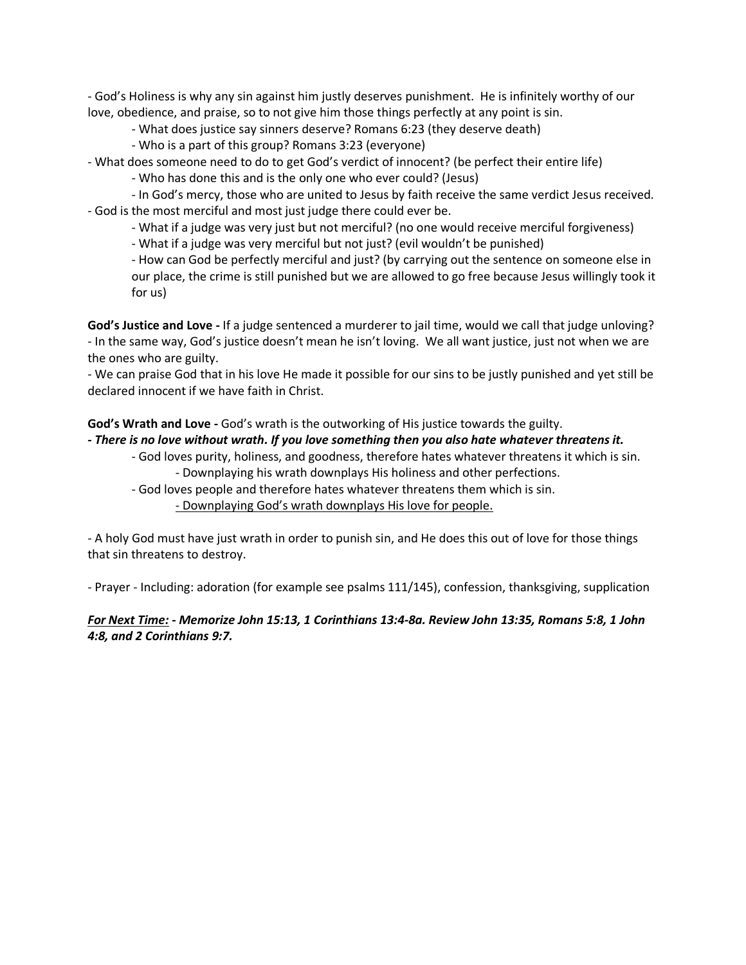- God's Holiness is why any sin against him justly deserves punishment. He is infinitely worthy of our love, obedience, and praise, so to not give him those things perfectly at any point is sin.

- What does justice say sinners deserve? Romans 6:23 (they deserve death)

- Who is a part of this group? Romans 3:23 (everyone)
- What does someone need to do to get God's verdict of innocent? (be perfect their entire life)

- Who has done this and is the only one who ever could? (Jesus)

- In God's mercy, those who are united to Jesus by faith receive the same verdict Jesus received. - God is the most merciful and most just judge there could ever be.

- What if a judge was very just but not merciful? (no one would receive merciful forgiveness)

- What if a judge was very merciful but not just? (evil wouldn't be punished)

- How can God be perfectly merciful and just? (by carrying out the sentence on someone else in our place, the crime is still punished but we are allowed to go free because Jesus willingly took it for us)

**God's Justice and Love -** If a judge sentenced a murderer to jail time, would we call that judge unloving? - In the same way, God's justice doesn't mean he isn't loving. We all want justice, just not when we are the ones who are guilty.

- We can praise God that in his love He made it possible for our sins to be justly punished and yet still be declared innocent if we have faith in Christ.

### **God's Wrath and Love -** God's wrath is the outworking of His justice towards the guilty.

### **-** *There is no love without wrath. If you love something then you also hate whatever threatens it.*

- God loves purity, holiness, and goodness, therefore hates whatever threatens it which is sin. - Downplaying his wrath downplays His holiness and other perfections.
- God loves people and therefore hates whatever threatens them which is sin.
	- Downplaying God's wrath downplays His love for people.

- A holy God must have just wrath in order to punish sin, and He does this out of love for those things that sin threatens to destroy.

- Prayer - Including: adoration (for example see psalms 111/145), confession, thanksgiving, supplication

# *For Next Time: - Memorize John 15:13, 1 Corinthians 13:4-8a. Review John 13:35, Romans 5:8, 1 John 4:8, and 2 Corinthians 9:7.*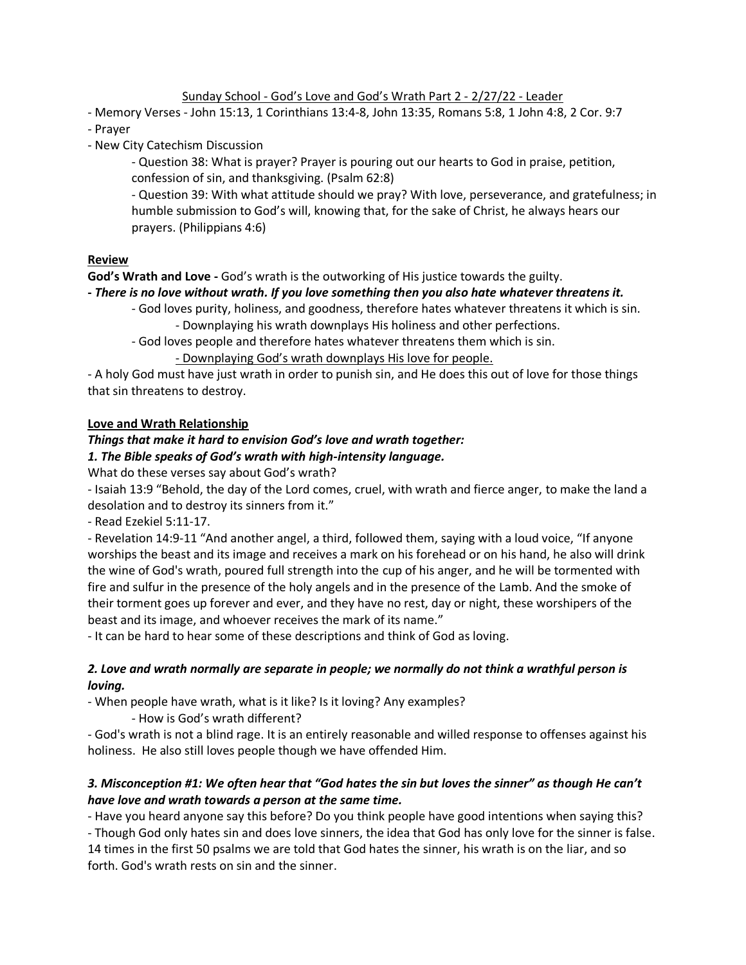### Sunday School - God's Love and God's Wrath Part 2 - 2/27/22 - Leader

- Memory Verses John 15:13, 1 Corinthians 13:4-8, John 13:35, Romans 5:8, 1 John 4:8, 2 Cor. 9:7
- Prayer
- New City Catechism Discussion

- Question 38: What is prayer? Prayer is pouring out our hearts to God in praise, petition, confession of sin, and thanksgiving. (Psalm 62:8)

- Question 39: With what attitude should we pray? With love, perseverance, and gratefulness; in humble submission to God's will, knowing that, for the sake of Christ, he always hears our prayers. (Philippians 4:6)

## **Review**

**God's Wrath and Love -** God's wrath is the outworking of His justice towards the guilty.

## **-** *There is no love without wrath. If you love something then you also hate whatever threatens it.*

- God loves purity, holiness, and goodness, therefore hates whatever threatens it which is sin. - Downplaying his wrath downplays His holiness and other perfections.
- God loves people and therefore hates whatever threatens them which is sin.

## - Downplaying God's wrath downplays His love for people.

- A holy God must have just wrath in order to punish sin, and He does this out of love for those things that sin threatens to destroy.

## **Love and Wrath Relationship**

## *Things that make it hard to envision God's love and wrath together:*

## *1. The Bible speaks of God's wrath with high-intensity language.*

What do these verses say about God's wrath?

- Isaiah 13:9 "Behold, the day of the Lord comes, cruel, with wrath and fierce anger, to make the land a desolation and to destroy its sinners from it."

- Read Ezekiel 5:11-17.

- Revelation 14:9-11 "And another angel, a third, followed them, saying with a loud voice, "If anyone worships the beast and its image and receives a mark on his forehead or on his hand, he also will drink the wine of God's wrath, poured full strength into the cup of his anger, and he will be tormented with fire and sulfur in the presence of the holy angels and in the presence of the Lamb. And the smoke of their torment goes up forever and ever, and they have no rest, day or night, these worshipers of the beast and its image, and whoever receives the mark of its name."

- It can be hard to hear some of these descriptions and think of God as loving.

## *2. Love and wrath normally are separate in people; we normally do not think a wrathful person is loving.*

- When people have wrath, what is it like? Is it loving? Any examples?

- How is God's wrath different?

- God's wrath is not a blind rage. It is an entirely reasonable and willed response to offenses against his holiness. He also still loves people though we have offended Him.

# *3. Misconception #1: We often hear that "God hates the sin but loves the sinner" as though He can't have love and wrath towards a person at the same time.*

- Have you heard anyone say this before? Do you think people have good intentions when saying this?

- Though God only hates sin and does love sinners, the idea that God has only love for the sinner is false. 14 times in the first 50 psalms we are told that God hates the sinner, his wrath is on the liar, and so forth. God's wrath rests on sin and the sinner.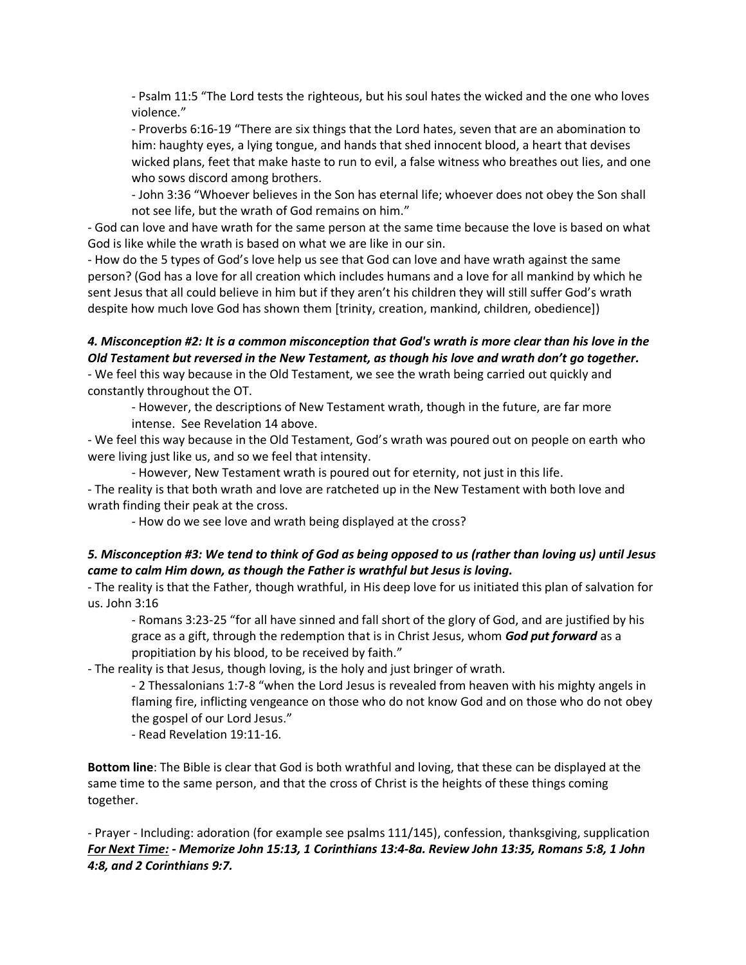- Psalm 11:5 "The Lord tests the righteous, but his soul hates the wicked and the one who loves violence."

- Proverbs 6:16-19 "There are six things that the Lord hates, seven that are an abomination to him: haughty eyes, a lying tongue, and hands that shed innocent blood, a heart that devises wicked plans, feet that make haste to run to evil, a false witness who breathes out lies, and one who sows discord among brothers.

- John 3:36 "Whoever believes in the Son has eternal life; whoever does not obey the Son shall not see life, but the wrath of God remains on him."

- God can love and have wrath for the same person at the same time because the love is based on what God is like while the wrath is based on what we are like in our sin.

- How do the 5 types of God's love help us see that God can love and have wrath against the same person? (God has a love for all creation which includes humans and a love for all mankind by which he sent Jesus that all could believe in him but if they aren't his children they will still suffer God's wrath despite how much love God has shown them [trinity, creation, mankind, children, obedience])

# *4. Misconception #2: It is a common misconception that God's wrath is more clear than his love in the Old Testament but reversed in the New Testament, as though his love and wrath don't go together.* - We feel this way because in the Old Testament, we see the wrath being carried out quickly and

constantly throughout the OT.

- However, the descriptions of New Testament wrath, though in the future, are far more intense. See Revelation 14 above.

- We feel this way because in the Old Testament, God's wrath was poured out on people on earth who were living just like us, and so we feel that intensity.

- However, New Testament wrath is poured out for eternity, not just in this life. - The reality is that both wrath and love are ratcheted up in the New Testament with both love and wrath finding their peak at the cross.

- How do we see love and wrath being displayed at the cross?

# *5. Misconception #3: We tend to think of God as being opposed to us (rather than loving us) until Jesus came to calm Him down, as though the Father is wrathful but Jesus is loving.*

- The reality is that the Father, though wrathful, in His deep love for us initiated this plan of salvation for us. John 3:16

- Romans 3:23-25 "for all have sinned and fall short of the glory of God, and are justified by his grace as a gift, through the redemption that is in Christ Jesus, whom *God put forward* as a propitiation by his blood, to be received by faith."

- The reality is that Jesus, though loving, is the holy and just bringer of wrath.

- 2 Thessalonians 1:7-8 "when the Lord Jesus is revealed from heaven with his mighty angels in flaming fire, inflicting vengeance on those who do not know God and on those who do not obey the gospel of our Lord Jesus."

- Read Revelation 19:11-16.

**Bottom line**: The Bible is clear that God is both wrathful and loving, that these can be displayed at the same time to the same person, and that the cross of Christ is the heights of these things coming together.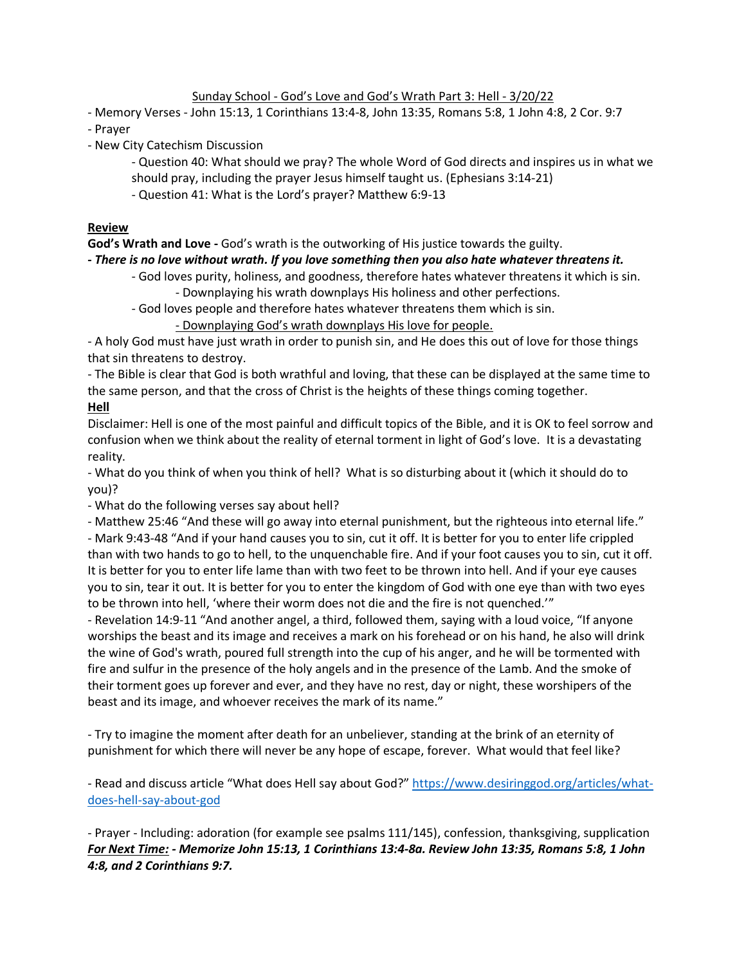## Sunday School - God's Love and God's Wrath Part 3: Hell - 3/20/22

- Memory Verses - John 15:13, 1 Corinthians 13:4-8, John 13:35, Romans 5:8, 1 John 4:8, 2 Cor. 9:7

- Prayer

- New City Catechism Discussion
	- Question 40: What should we pray? The whole Word of God directs and inspires us in what we
	- should pray, including the prayer Jesus himself taught us. (Ephesians 3:14-21)
	- Question 41: What is the Lord's prayer? Matthew 6:9-13

### **Review**

**God's Wrath and Love -** God's wrath is the outworking of His justice towards the guilty.

### **-** *There is no love without wrath. If you love something then you also hate whatever threatens it.*

- God loves purity, holiness, and goodness, therefore hates whatever threatens it which is sin. - Downplaying his wrath downplays His holiness and other perfections.

- God loves people and therefore hates whatever threatens them which is sin.

- Downplaying God's wrath downplays His love for people.

- A holy God must have just wrath in order to punish sin, and He does this out of love for those things that sin threatens to destroy.

- The Bible is clear that God is both wrathful and loving, that these can be displayed at the same time to the same person, and that the cross of Christ is the heights of these things coming together. **Hell**

Disclaimer: Hell is one of the most painful and difficult topics of the Bible, and it is OK to feel sorrow and confusion when we think about the reality of eternal torment in light of God's love. It is a devastating reality.

- What do you think of when you think of hell? What is so disturbing about it (which it should do to you)?

- What do the following verses say about hell?

- Matthew 25:46 "And these will go away into eternal punishment, but the righteous into eternal life."

- Mark 9:43-48 "And if your hand causes you to sin, cut it off. It is better for you to enter life crippled than with two hands to go to hell, to the unquenchable fire. And if your foot causes you to sin, cut it off. It is better for you to enter life lame than with two feet to be thrown into hell. And if your eye causes you to sin, tear it out. It is better for you to enter the kingdom of God with one eye than with two eyes to be thrown into hell, 'where their worm does not die and the fire is not quenched.'"

- Revelation 14:9-11 "And another angel, a third, followed them, saying with a loud voice, "If anyone worships the beast and its image and receives a mark on his forehead or on his hand, he also will drink the wine of God's wrath, poured full strength into the cup of his anger, and he will be tormented with fire and sulfur in the presence of the holy angels and in the presence of the Lamb. And the smoke of their torment goes up forever and ever, and they have no rest, day or night, these worshipers of the beast and its image, and whoever receives the mark of its name."

- Try to imagine the moment after death for an unbeliever, standing at the brink of an eternity of punishment for which there will never be any hope of escape, forever. What would that feel like?

- Read and discuss article "What does Hell say about God?" [https://www.desiringgod.org/articles/what](https://www.desiringgod.org/articles/what-does-hell-say-about-god)[does-hell-say-about-god](https://www.desiringgod.org/articles/what-does-hell-say-about-god)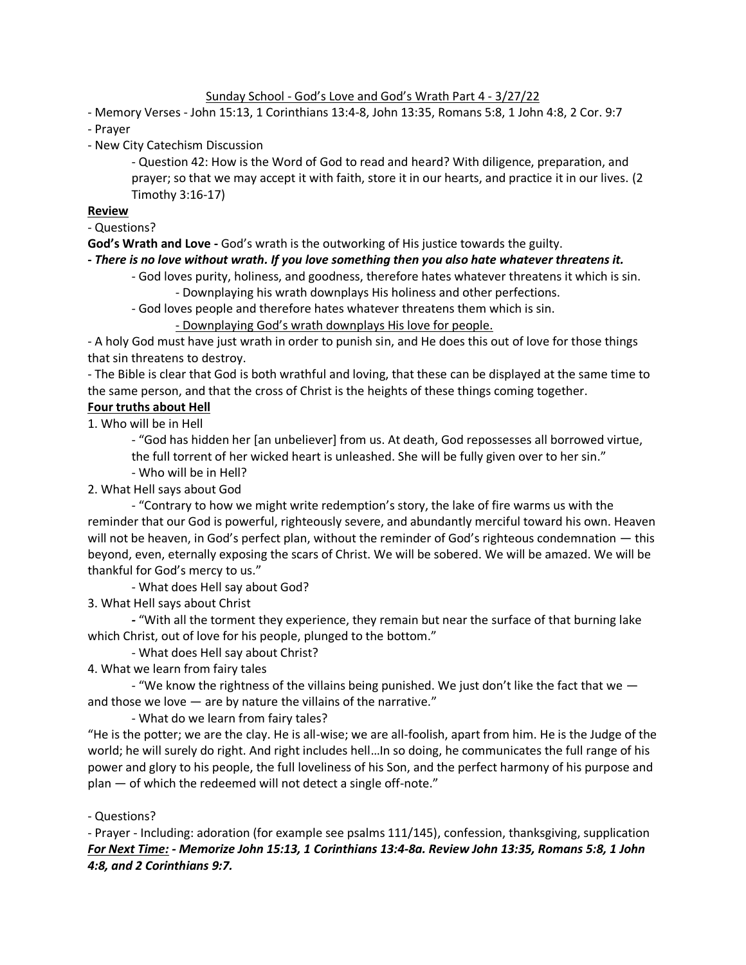### Sunday School - God's Love and God's Wrath Part 4 - 3/27/22

- Memory Verses - John 15:13, 1 Corinthians 13:4-8, John 13:35, Romans 5:8, 1 John 4:8, 2 Cor. 9:7

- Prayer
- New City Catechism Discussion

- Question 42: How is the Word of God to read and heard? With diligence, preparation, and prayer; so that we may accept it with faith, store it in our hearts, and practice it in our lives. (2 Timothy 3:16-17)

## **Review**

- Questions?

**God's Wrath and Love -** God's wrath is the outworking of His justice towards the guilty.

### **-** *There is no love without wrath. If you love something then you also hate whatever threatens it.*

- God loves purity, holiness, and goodness, therefore hates whatever threatens it which is sin. - Downplaying his wrath downplays His holiness and other perfections.
- God loves people and therefore hates whatever threatens them which is sin.

- Downplaying God's wrath downplays His love for people.

- A holy God must have just wrath in order to punish sin, and He does this out of love for those things that sin threatens to destroy.

- The Bible is clear that God is both wrathful and loving, that these can be displayed at the same time to the same person, and that the cross of Christ is the heights of these things coming together.

# **Four truths about Hell**

1. Who will be in Hell

- "God has hidden her [an unbeliever] from us. At death, God repossesses all borrowed virtue, the full torrent of her wicked heart is unleashed. She will be fully given over to her sin."

- Who will be in Hell?
- 2. What Hell says about God

- "Contrary to how we might write redemption's story, the lake of fire warms us with the reminder that our God is powerful, righteously severe, and abundantly merciful toward his own. Heaven will not be heaven, in God's perfect plan, without the reminder of God's righteous condemnation — this beyond, even, eternally exposing the scars of Christ. We will be sobered. We will be amazed. We will be thankful for God's mercy to us."

- What does Hell say about God?

3. What Hell says about Christ

*-* "With all the torment they experience, they remain but near the surface of that burning lake which Christ, out of love for his people, plunged to the bottom."

- What does Hell say about Christ?

4. What we learn from fairy tales

- "We know the rightness of the villains being punished. We just don't like the fact that we  $$ and those we love — are by nature the villains of the narrative."

- What do we learn from fairy tales?

"He is the potter; we are the clay. He is all-wise; we are all-foolish, apart from him. He is the Judge of the world; he will surely do right. And right includes hell…In so doing, he communicates the full range of his power and glory to his people, the full loveliness of his Son, and the perfect harmony of his purpose and plan — of which the redeemed will not detect a single off-note."

### - Questions?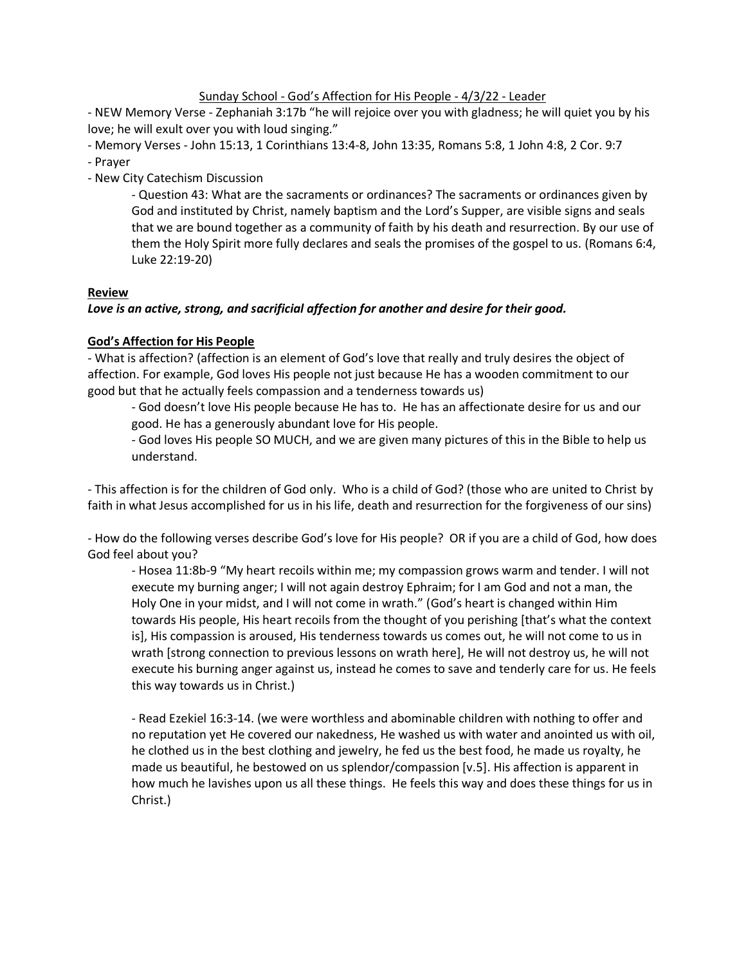## Sunday School - God's Affection for His People - 4/3/22 - Leader

- NEW Memory Verse - Zephaniah 3:17b "he will rejoice over you with gladness; he will quiet you by his love; he will exult over you with loud singing."

- Memory Verses - John 15:13, 1 Corinthians 13:4-8, John 13:35, Romans 5:8, 1 John 4:8, 2 Cor. 9:7

- Prayer
- New City Catechism Discussion

- Question 43: What are the sacraments or ordinances? The sacraments or ordinances given by God and instituted by Christ, namely baptism and the Lord's Supper, are visible signs and seals that we are bound together as a community of faith by his death and resurrection. By our use of them the Holy Spirit more fully declares and seals the promises of the gospel to us. (Romans 6:4, Luke 22:19-20)

# **Review**

# *Love is an active, strong, and sacrificial affection for another and desire for their good.*

# **God's Affection for His People**

- What is affection? (affection is an element of God's love that really and truly desires the object of affection. For example, God loves His people not just because He has a wooden commitment to our good but that he actually feels compassion and a tenderness towards us)

- God doesn't love His people because He has to. He has an affectionate desire for us and our good. He has a generously abundant love for His people.

- God loves His people SO MUCH, and we are given many pictures of this in the Bible to help us understand.

- This affection is for the children of God only. Who is a child of God? (those who are united to Christ by faith in what Jesus accomplished for us in his life, death and resurrection for the forgiveness of our sins)

- How do the following verses describe God's love for His people? OR if you are a child of God, how does God feel about you?

- Hosea 11:8b-9 "My heart recoils within me; my compassion grows warm and tender. I will not execute my burning anger; I will not again destroy Ephraim; for I am God and not a man, the Holy One in your midst, and I will not come in wrath." (God's heart is changed within Him towards His people, His heart recoils from the thought of you perishing [that's what the context is], His compassion is aroused, His tenderness towards us comes out, he will not come to us in wrath [strong connection to previous lessons on wrath here], He will not destroy us, he will not execute his burning anger against us, instead he comes to save and tenderly care for us. He feels this way towards us in Christ.)

- Read Ezekiel 16:3-14. (we were worthless and abominable children with nothing to offer and no reputation yet He covered our nakedness, He washed us with water and anointed us with oil, he clothed us in the best clothing and jewelry, he fed us the best food, he made us royalty, he made us beautiful, he bestowed on us splendor/compassion [v.5]. His affection is apparent in how much he lavishes upon us all these things. He feels this way and does these things for us in Christ.)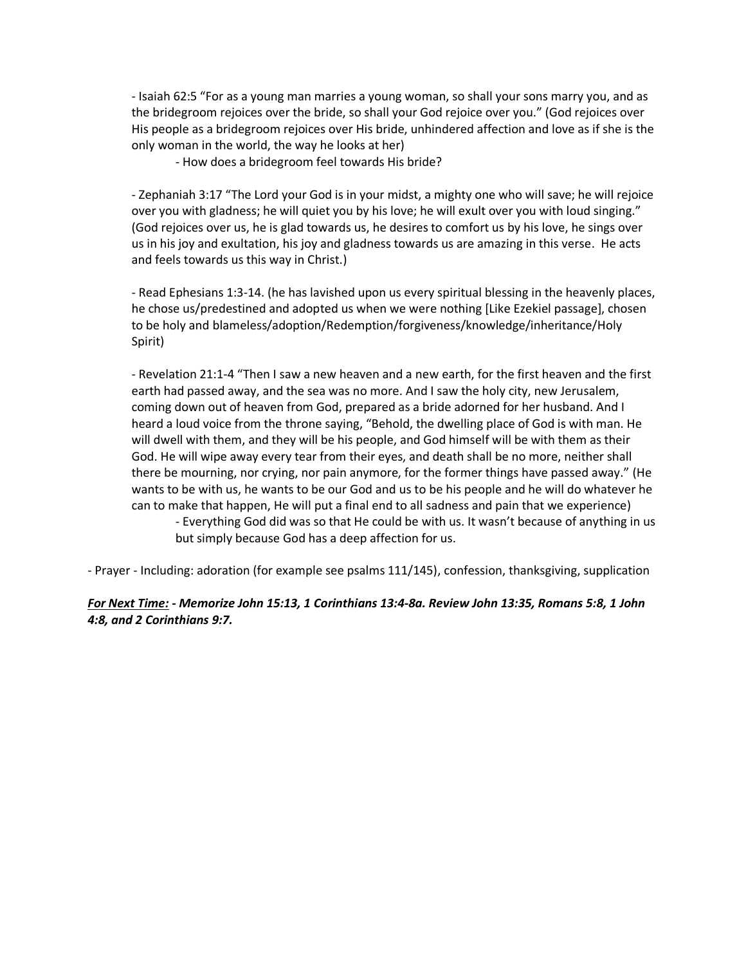- Isaiah 62:5 "For as a young man marries a young woman, so shall your sons marry you, and as the bridegroom rejoices over the bride, so shall your God rejoice over you." (God rejoices over His people as a bridegroom rejoices over His bride, unhindered affection and love as if she is the only woman in the world, the way he looks at her)

- How does a bridegroom feel towards His bride?

- Zephaniah 3:17 "The Lord your God is in your midst, a mighty one who will save; he will rejoice over you with gladness; he will quiet you by his love; he will exult over you with loud singing." (God rejoices over us, he is glad towards us, he desires to comfort us by his love, he sings over us in his joy and exultation, his joy and gladness towards us are amazing in this verse. He acts and feels towards us this way in Christ.)

- Read Ephesians 1:3-14. (he has lavished upon us every spiritual blessing in the heavenly places, he chose us/predestined and adopted us when we were nothing [Like Ezekiel passage], chosen to be holy and blameless/adoption/Redemption/forgiveness/knowledge/inheritance/Holy Spirit)

- Revelation 21:1-4 "Then I saw a new heaven and a new earth, for the first heaven and the first earth had passed away, and the sea was no more. And I saw the holy city, new Jerusalem, coming down out of heaven from God, prepared as a bride adorned for her husband. And I heard a loud voice from the throne saying, "Behold, the dwelling place of God is with man. He will dwell with them, and they will be his people, and God himself will be with them as their God. He will wipe away every tear from their eyes, and death shall be no more, neither shall there be mourning, nor crying, nor pain anymore, for the former things have passed away." (He wants to be with us, he wants to be our God and us to be his people and he will do whatever he can to make that happen, He will put a final end to all sadness and pain that we experience) - Everything God did was so that He could be with us. It wasn't because of anything in us but simply because God has a deep affection for us.

- Prayer - Including: adoration (for example see psalms 111/145), confession, thanksgiving, supplication

## *For Next Time: - Memorize John 15:13, 1 Corinthians 13:4-8a. Review John 13:35, Romans 5:8, 1 John 4:8, and 2 Corinthians 9:7.*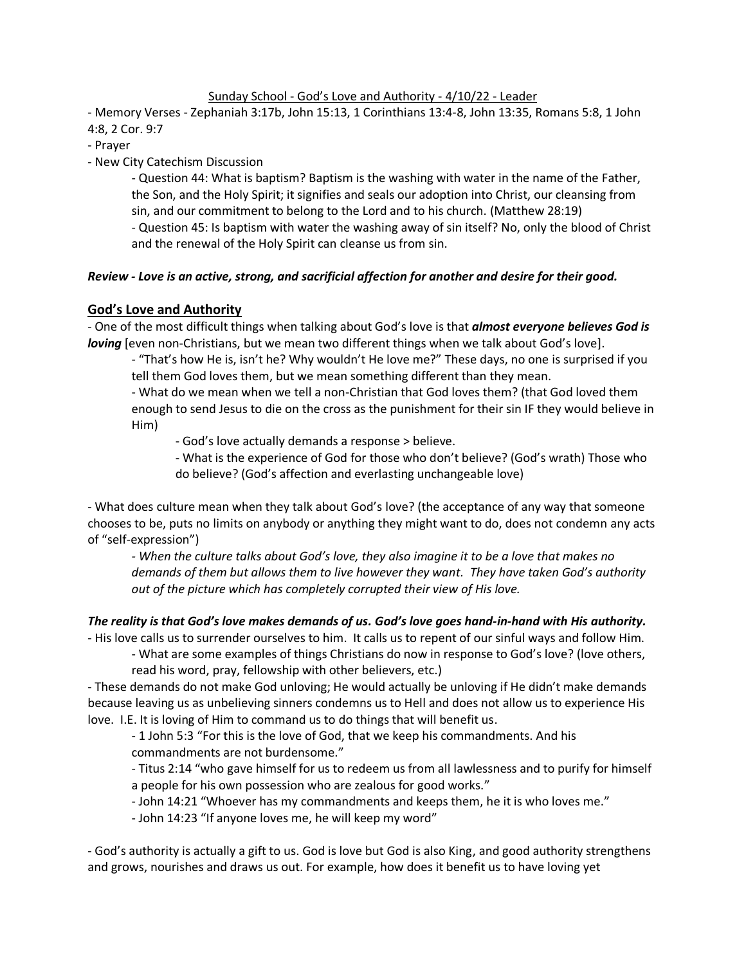## Sunday School - God's Love and Authority - 4/10/22 - Leader

- Memory Verses - Zephaniah 3:17b, John 15:13, 1 Corinthians 13:4-8, John 13:35, Romans 5:8, 1 John 4:8, 2 Cor. 9:7

- Prayer

- New City Catechism Discussion

- Question 44: What is baptism? Baptism is the washing with water in the name of the Father, the Son, and the Holy Spirit; it signifies and seals our adoption into Christ, our cleansing from sin, and our commitment to belong to the Lord and to his church. (Matthew 28:19)

- Question 45: Is baptism with water the washing away of sin itself? No, only the blood of Christ and the renewal of the Holy Spirit can cleanse us from sin.

# *Review - Love is an active, strong, and sacrificial affection for another and desire for their good.*

## **God's Love and Authority**

- One of the most difficult things when talking about God's love is that *almost everyone believes God is loving* [even non-Christians, but we mean two different things when we talk about God's love].

- "That's how He is, isn't he? Why wouldn't He love me?" These days, no one is surprised if you tell them God loves them, but we mean something different than they mean.

- What do we mean when we tell a non-Christian that God loves them? (that God loved them enough to send Jesus to die on the cross as the punishment for their sin IF they would believe in Him)

- God's love actually demands a response > believe.

- What is the experience of God for those who don't believe? (God's wrath) Those who do believe? (God's affection and everlasting unchangeable love)

- What does culture mean when they talk about God's love? (the acceptance of any way that someone chooses to be, puts no limits on anybody or anything they might want to do, does not condemn any acts of "self-expression")

*- When the culture talks about God's love, they also imagine it to be a love that makes no demands of them but allows them to live however they want. They have taken God's authority out of the picture which has completely corrupted their view of His love.*

# *The reality is that God's love makes demands of us. God's love goes hand-in-hand with His authority.*

- His love calls us to surrender ourselves to him. It calls us to repent of our sinful ways and follow Him.

- What are some examples of things Christians do now in response to God's love? (love others, read his word, pray, fellowship with other believers, etc.)

- These demands do not make God unloving; He would actually be unloving if He didn't make demands because leaving us as unbelieving sinners condemns us to Hell and does not allow us to experience His love. I.E. It is loving of Him to command us to do things that will benefit us.

- 1 John 5:3 "For this is the love of God, that we keep his commandments. And his commandments are not burdensome."

- Titus 2:14 "who gave himself for us to redeem us from all lawlessness and to purify for himself a people for his own possession who are zealous for good works."

- John 14:21 "Whoever has my commandments and keeps them, he it is who loves me."
- John 14:23 "If anyone loves me, he will keep my word"

- God's authority is actually a gift to us. God is love but God is also King, and good authority strengthens and grows, nourishes and draws us out. For example, how does it benefit us to have loving yet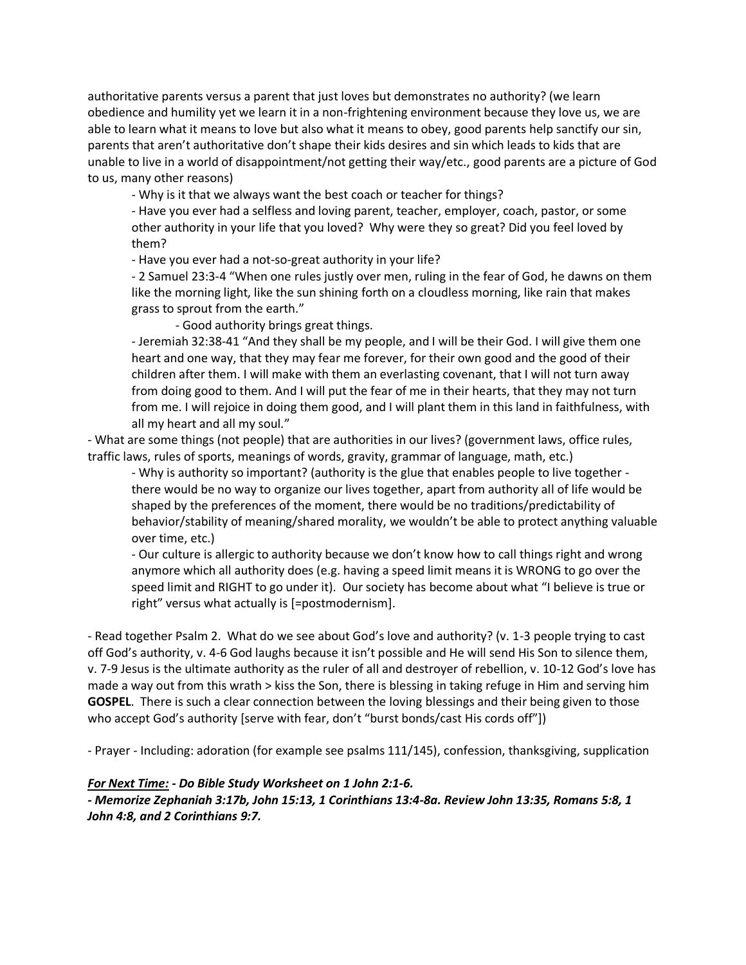authoritative parents versus a parent that just loves but demonstrates no authority? (we learn obedience and humility yet we learn it in a non-frightening environment because they love us, we are able to learn what it means to love but also what it means to obey, good parents help sanctify our sin, parents that aren't authoritative don't shape their kids desires and sin which leads to kids that are unable to live in a world of disappointment/not getting their way/etc., good parents are a picture of God to us, many other reasons)

- Why is it that we always want the best coach or teacher for things?

- Have you ever had a selfless and loving parent, teacher, employer, coach, pastor, or some other authority in your life that you loved? Why were they so great? Did you feel loved by them?

- Have you ever had a not-so-great authority in your life?

- 2 Samuel 23:3-4 "When one rules justly over men, ruling in the fear of God, he dawns on them like the morning light, like the sun shining forth on a cloudless morning, like rain that makes grass to sprout from the earth."

- Good authority brings great things.

- Jeremiah 32:38-41 "And they shall be my people, and I will be their God. I will give them one heart and one way, that they may fear me forever, for their own good and the good of their children after them. I will make with them an everlasting covenant, that I will not turn away from doing good to them. And I will put the fear of me in their hearts, that they may not turn from me. I will rejoice in doing them good, and I will plant them in this land in faithfulness, with all my heart and all my soul."

- What are some things (not people) that are authorities in our lives? (government laws, office rules, traffic laws, rules of sports, meanings of words, gravity, grammar of language, math, etc.)

- Why is authority so important? (authority is the glue that enables people to live together there would be no way to organize our lives together, apart from authority all of life would be shaped by the preferences of the moment, there would be no traditions/predictability of behavior/stability of meaning/shared morality, we wouldn't be able to protect anything valuable over time, etc.)

- Our culture is allergic to authority because we don't know how to call things right and wrong anymore which all authority does (e.g. having a speed limit means it is WRONG to go over the speed limit and RIGHT to go under it). Our society has become about what "I believe is true or right" versus what actually is [=postmodernism].

- Read together Psalm 2. What do we see about God's love and authority? (v. 1-3 people trying to cast off God's authority, v. 4-6 God laughs because it isn't possible and He will send His Son to silence them, v. 7-9 Jesus is the ultimate authority as the ruler of all and destroyer of rebellion, v. 10-12 God's love has made a way out from this wrath > kiss the Son, there is blessing in taking refuge in Him and serving him **GOSPEL**. There is such a clear connection between the loving blessings and their being given to those who accept God's authority [serve with fear, don't "burst bonds/cast His cords off"])

- Prayer - Including: adoration (for example see psalms 111/145), confession, thanksgiving, supplication

#### *For Next Time: - Do Bible Study Worksheet on 1 John 2:1-6.*

*- Memorize Zephaniah 3:17b, John 15:13, 1 Corinthians 13:4-8a. Review John 13:35, Romans 5:8, 1 John 4:8, and 2 Corinthians 9:7.*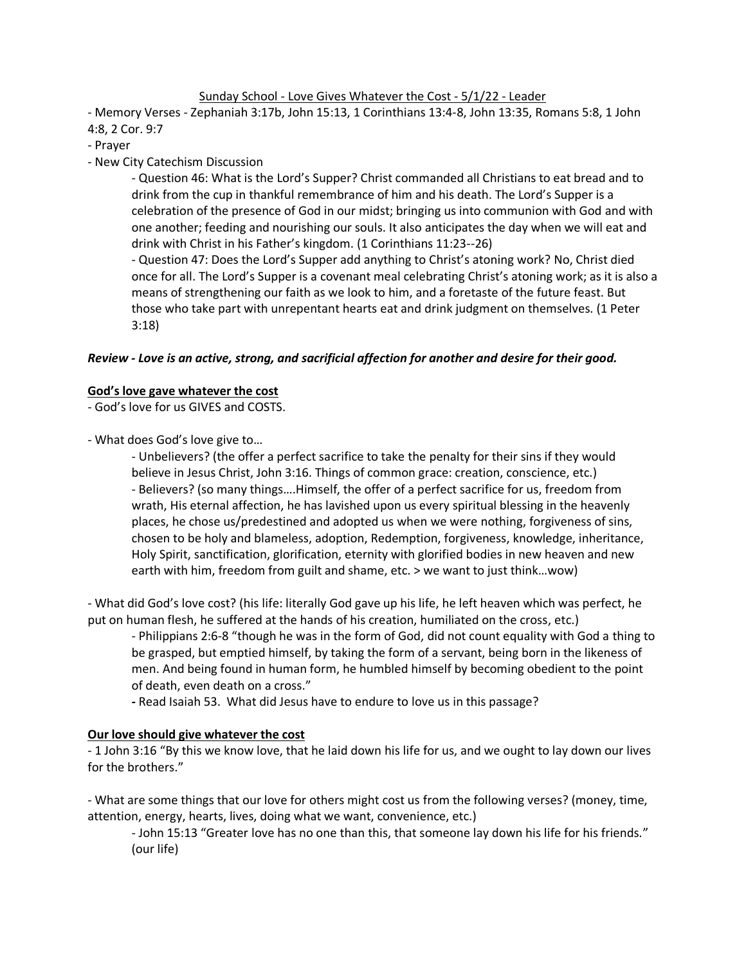### Sunday School - Love Gives Whatever the Cost - 5/1/22 - Leader

- Memory Verses - Zephaniah 3:17b, John 15:13, 1 Corinthians 13:4-8, John 13:35, Romans 5:8, 1 John 4:8, 2 Cor. 9:7

- Prayer
- New City Catechism Discussion

- Question 46: What is the Lord's Supper? Christ commanded all Christians to eat bread and to drink from the cup in thankful remembrance of him and his death. The Lord's Supper is a celebration of the presence of God in our midst; bringing us into communion with God and with one another; feeding and nourishing our souls. It also anticipates the day when we will eat and drink with Christ in his Father's kingdom. (1 Corinthians 11:23--26)

- Question 47: Does the Lord's Supper add anything to Christ's atoning work? No, Christ died once for all. The Lord's Supper is a covenant meal celebrating Christ's atoning work; as it is also a means of strengthening our faith as we look to him, and a foretaste of the future feast. But those who take part with unrepentant hearts eat and drink judgment on themselves. (1 Peter 3:18)

## *Review - Love is an active, strong, and sacrificial affection for another and desire for their good.*

#### **God's love gave whatever the cost**

- God's love for us GIVES and COSTS.

- What does God's love give to…

- Unbelievers? (the offer a perfect sacrifice to take the penalty for their sins if they would believe in Jesus Christ, John 3:16. Things of common grace: creation, conscience, etc.) - Believers? (so many things….Himself, the offer of a perfect sacrifice for us, freedom from wrath, His eternal affection, he has lavished upon us every spiritual blessing in the heavenly places, he chose us/predestined and adopted us when we were nothing, forgiveness of sins, chosen to be holy and blameless, adoption, Redemption, forgiveness, knowledge, inheritance, Holy Spirit, sanctification, glorification, eternity with glorified bodies in new heaven and new earth with him, freedom from guilt and shame, etc. > we want to just think…wow)

- What did God's love cost? (his life: literally God gave up his life, he left heaven which was perfect, he put on human flesh, he suffered at the hands of his creation, humiliated on the cross, etc.)

- Philippians 2:6-8 "though he was in the form of God, did not count equality with God a thing to be grasped, but emptied himself, by taking the form of a servant, being born in the likeness of men. And being found in human form, he humbled himself by becoming obedient to the point of death, even death on a cross."

*-* Read Isaiah 53. What did Jesus have to endure to love us in this passage?

### **Our love should give whatever the cost**

- 1 John 3:16 "By this we know love, that he laid down his life for us, and we ought to lay down our lives for the brothers."

- What are some things that our love for others might cost us from the following verses? (money, time, attention, energy, hearts, lives, doing what we want, convenience, etc.)

- John 15:13 "Greater love has no one than this, that someone lay down his life for his friends." (our life)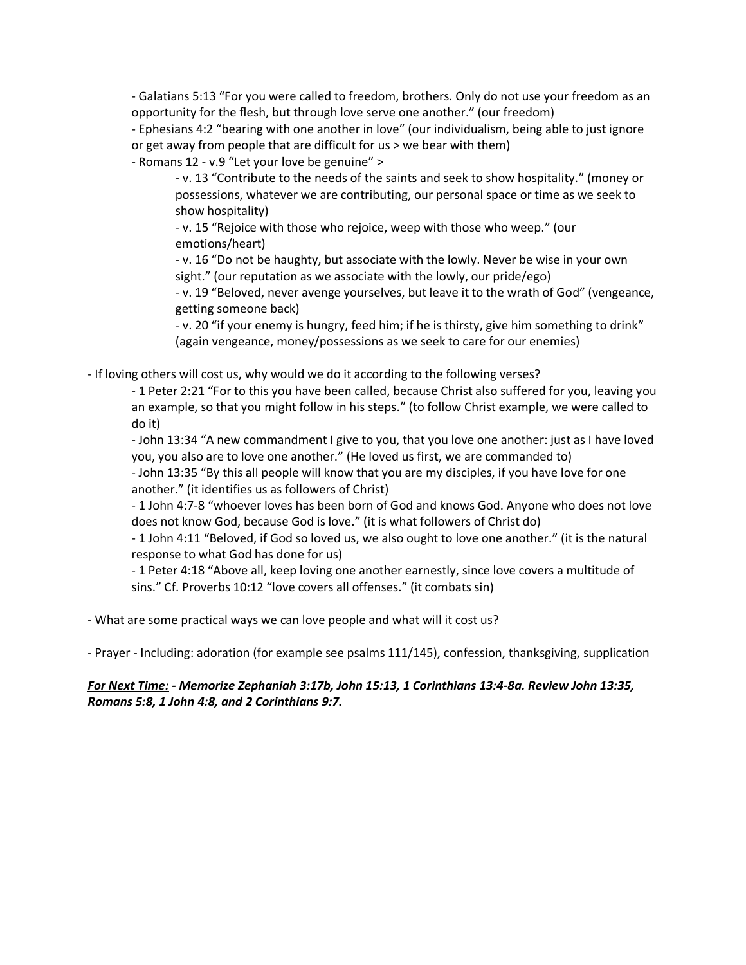- Galatians 5:13 "For you were called to freedom, brothers. Only do not use your freedom as an opportunity for the flesh, but through love serve one another." (our freedom)

- Ephesians 4:2 "bearing with one another in love" (our individualism, being able to just ignore or get away from people that are difficult for us > we bear with them)

- Romans 12 - v.9 "Let your love be genuine" >

- v. 13 "Contribute to the needs of the saints and seek to show hospitality." (money or possessions, whatever we are contributing, our personal space or time as we seek to show hospitality)

- v. 15 "Rejoice with those who rejoice, weep with those who weep." (our emotions/heart)

- v. 16 "Do not be haughty, but associate with the lowly. Never be wise in your own sight." (our reputation as we associate with the lowly, our pride/ego)

- v. 19 "Beloved, never avenge yourselves, but leave it to the wrath of God" (vengeance, getting someone back)

- v. 20 "if your enemy is hungry, feed him; if he is thirsty, give him something to drink" (again vengeance, money/possessions as we seek to care for our enemies)

- If loving others will cost us, why would we do it according to the following verses?

- 1 Peter 2:21 "For to this you have been called, because Christ also suffered for you, leaving you an example, so that you might follow in his steps." (to follow Christ example, we were called to do it)

- John 13:34 "A new commandment I give to you, that you love one another: just as I have loved you, you also are to love one another." (He loved us first, we are commanded to)

- John 13:35 "By this all people will know that you are my disciples, if you have love for one another." (it identifies us as followers of Christ)

- 1 John 4:7-8 "whoever loves has been born of God and knows God. Anyone who does not love does not know God, because God is love." (it is what followers of Christ do)

- 1 John 4:11 "Beloved, if God so loved us, we also ought to love one another." (it is the natural response to what God has done for us)

- 1 Peter 4:18 "Above all, keep loving one another earnestly, since love covers a multitude of sins." Cf. Proverbs 10:12 "love covers all offenses." (it combats sin)

- What are some practical ways we can love people and what will it cost us?

- Prayer - Including: adoration (for example see psalms 111/145), confession, thanksgiving, supplication

## *For Next Time: - Memorize Zephaniah 3:17b, John 15:13, 1 Corinthians 13:4-8a. Review John 13:35, Romans 5:8, 1 John 4:8, and 2 Corinthians 9:7.*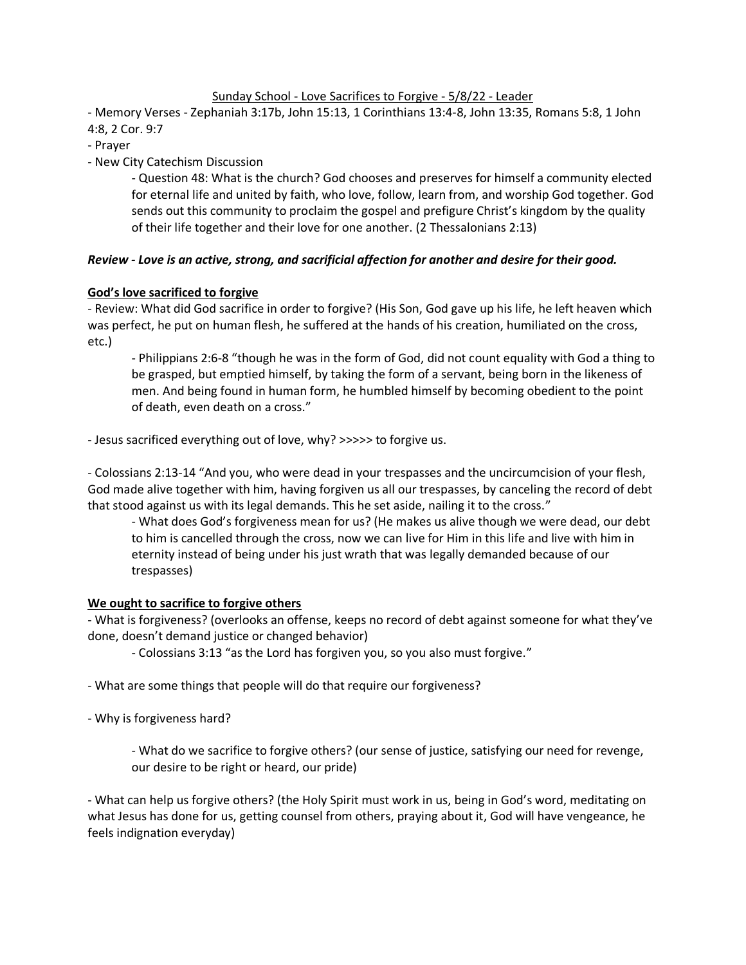## Sunday School - Love Sacrifices to Forgive - 5/8/22 - Leader

- Memory Verses - Zephaniah 3:17b, John 15:13, 1 Corinthians 13:4-8, John 13:35, Romans 5:8, 1 John 4:8, 2 Cor. 9:7

- Prayer

- New City Catechism Discussion

- Question 48: What is the church? God chooses and preserves for himself a community elected for eternal life and united by faith, who love, follow, learn from, and worship God together. God sends out this community to proclaim the gospel and prefigure Christ's kingdom by the quality of their life together and their love for one another. (2 Thessalonians 2:13)

## *Review - Love is an active, strong, and sacrificial affection for another and desire for their good.*

## **God's love sacrificed to forgive**

- Review: What did God sacrifice in order to forgive? (His Son, God gave up his life, he left heaven which was perfect, he put on human flesh, he suffered at the hands of his creation, humiliated on the cross, etc.)

- Philippians 2:6-8 "though he was in the form of God, did not count equality with God a thing to be grasped, but emptied himself, by taking the form of a servant, being born in the likeness of men. And being found in human form, he humbled himself by becoming obedient to the point of death, even death on a cross."

- Jesus sacrificed everything out of love, why? >>>>> to forgive us.

- Colossians 2:13-14 "And you, who were dead in your trespasses and the uncircumcision of your flesh, God made alive together with him, having forgiven us all our trespasses, by canceling the record of debt that stood against us with its legal demands. This he set aside, nailing it to the cross."

- What does God's forgiveness mean for us? (He makes us alive though we were dead, our debt to him is cancelled through the cross, now we can live for Him in this life and live with him in eternity instead of being under his just wrath that was legally demanded because of our trespasses)

### **We ought to sacrifice to forgive others**

- What is forgiveness? (overlooks an offense, keeps no record of debt against someone for what they've done, doesn't demand justice or changed behavior)

- Colossians 3:13 "as the Lord has forgiven you, so you also must forgive."

- What are some things that people will do that require our forgiveness?

- Why is forgiveness hard?

- What do we sacrifice to forgive others? (our sense of justice, satisfying our need for revenge, our desire to be right or heard, our pride)

- What can help us forgive others? (the Holy Spirit must work in us, being in God's word, meditating on what Jesus has done for us, getting counsel from others, praying about it, God will have vengeance, he feels indignation everyday)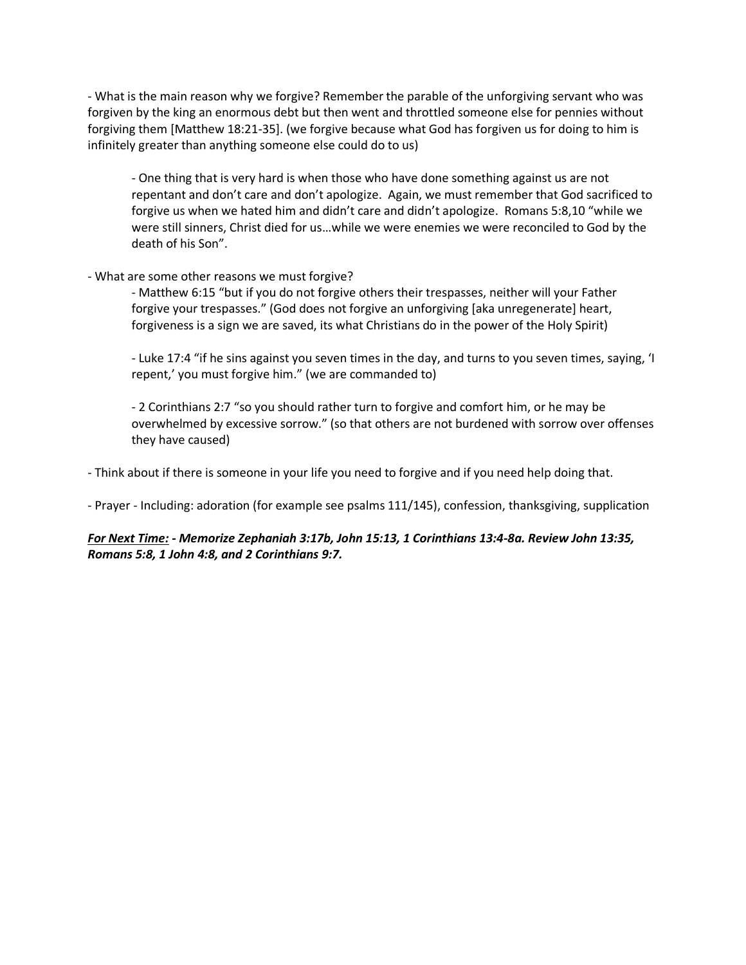- What is the main reason why we forgive? Remember the parable of the unforgiving servant who was forgiven by the king an enormous debt but then went and throttled someone else for pennies without forgiving them [Matthew 18:21-35]. (we forgive because what God has forgiven us for doing to him is infinitely greater than anything someone else could do to us)

- One thing that is very hard is when those who have done something against us are not repentant and don't care and don't apologize. Again, we must remember that God sacrificed to forgive us when we hated him and didn't care and didn't apologize. Romans 5:8,10 "while we were still sinners, Christ died for us…while we were enemies we were reconciled to God by the death of his Son".

#### - What are some other reasons we must forgive?

- Matthew 6:15 "but if you do not forgive others their trespasses, neither will your Father forgive your trespasses." (God does not forgive an unforgiving [aka unregenerate] heart, forgiveness is a sign we are saved, its what Christians do in the power of the Holy Spirit)

- Luke 17:4 "if he sins against you seven times in the day, and turns to you seven times, saying, 'I repent,' you must forgive him." (we are commanded to)

- 2 Corinthians 2:7 "so you should rather turn to forgive and comfort him, or he may be overwhelmed by excessive sorrow." (so that others are not burdened with sorrow over offenses they have caused)

- Think about if there is someone in your life you need to forgive and if you need help doing that.

- Prayer - Including: adoration (for example see psalms 111/145), confession, thanksgiving, supplication

## *For Next Time: - Memorize Zephaniah 3:17b, John 15:13, 1 Corinthians 13:4-8a. Review John 13:35, Romans 5:8, 1 John 4:8, and 2 Corinthians 9:7.*